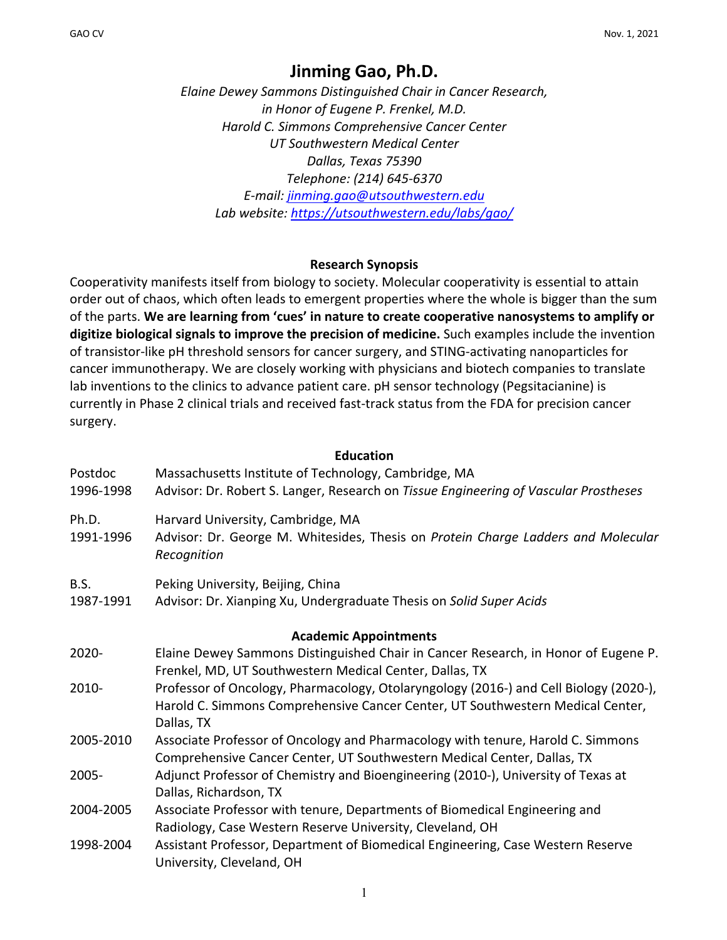# **Jinming Gao, Ph.D.**

*Elaine Dewey Sammons Distinguished Chair in Cancer Research, in Honor of Eugene P. Frenkel, M.D. Harold C. Simmons Comprehensive Cancer Center UT Southwestern Medical Center Dallas, Texas 75390 Telephone: (214) 645-6370 E-mail: jinming.gao@utsouthwestern.edu Lab website: https://utsouthwestern.edu/labs/gao/*

### **Research Synopsis**

Cooperativity manifests itself from biology to society. Molecular cooperativity is essential to attain order out of chaos, which often leads to emergent properties where the whole is bigger than the sum of the parts. **We are learning from 'cues' in nature to create cooperative nanosystems to amplify or digitize biological signals to improve the precision of medicine.** Such examples include the invention of transistor-like pH threshold sensors for cancer surgery, and STING-activating nanoparticles for cancer immunotherapy. We are closely working with physicians and biotech companies to translate lab inventions to the clinics to advance patient care. pH sensor technology (Pegsitacianine) is currently in Phase 2 clinical trials and received fast-track status from the FDA for precision cancer surgery.

#### **Education**

| Postdoc<br>1996-1998 | Massachusetts Institute of Technology, Cambridge, MA<br>Advisor: Dr. Robert S. Langer, Research on Tissue Engineering of Vascular Prostheses                                          |
|----------------------|---------------------------------------------------------------------------------------------------------------------------------------------------------------------------------------|
| Ph.D.<br>1991-1996   | Harvard University, Cambridge, MA<br>Advisor: Dr. George M. Whitesides, Thesis on Protein Charge Ladders and Molecular<br>Recognition                                                 |
| B.S.<br>1987-1991    | Peking University, Beijing, China<br>Advisor: Dr. Xianping Xu, Undergraduate Thesis on Solid Super Acids                                                                              |
|                      | <b>Academic Appointments</b>                                                                                                                                                          |
| 2020-                | Elaine Dewey Sammons Distinguished Chair in Cancer Research, in Honor of Eugene P.<br>Frenkel, MD, UT Southwestern Medical Center, Dallas, TX                                         |
| 2010-                | Professor of Oncology, Pharmacology, Otolaryngology (2016-) and Cell Biology (2020-),<br>Harold C. Simmons Comprehensive Cancer Center, UT Southwestern Medical Center,<br>Dallas, TX |
| 2005-2010            | Associate Professor of Oncology and Pharmacology with tenure, Harold C. Simmons<br>Comprehensive Cancer Center, UT Southwestern Medical Center, Dallas, TX                            |
| 2005-                | Adjunct Professor of Chemistry and Bioengineering (2010-), University of Texas at<br>Dallas, Richardson, TX                                                                           |
| 2004-2005            | Associate Professor with tenure, Departments of Biomedical Engineering and<br>Radiology, Case Western Reserve University, Cleveland, OH                                               |
| 1998-2004            | Assistant Professor, Department of Biomedical Engineering, Case Western Reserve<br>University, Cleveland, OH                                                                          |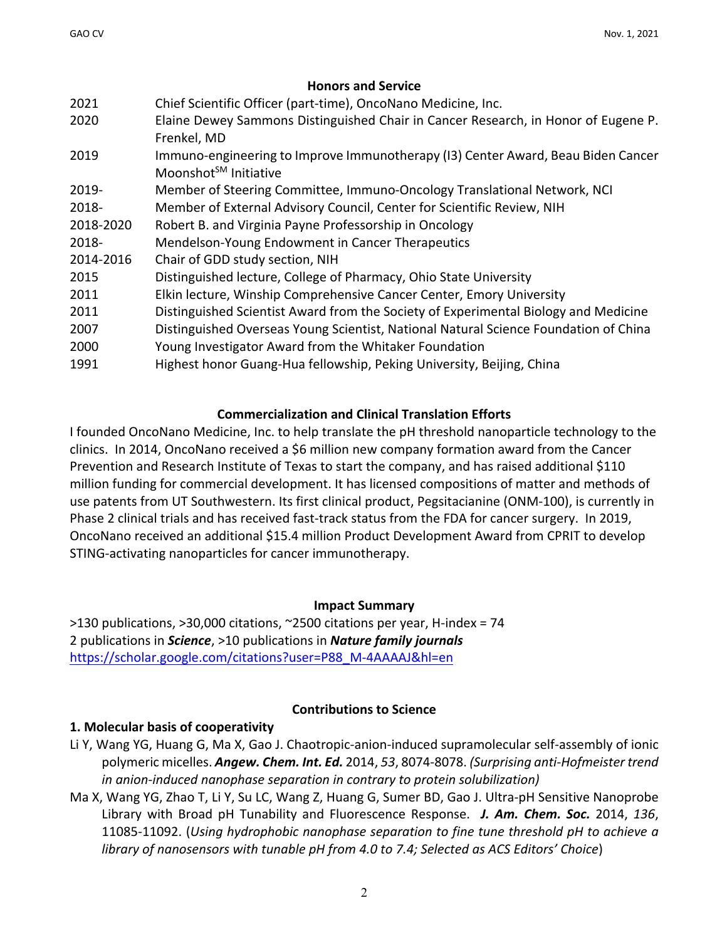### **Honors and Service**

| Elaine Dewey Sammons Distinguished Chair in Cancer Research, in Honor of Eugene P.<br>2020<br>Frenkel, MD                     |  |
|-------------------------------------------------------------------------------------------------------------------------------|--|
| Immuno-engineering to Improve Immunotherapy (I3) Center Award, Beau Biden Cancer<br>2019<br>Moonshot <sup>SM</sup> Initiative |  |
| Member of Steering Committee, Immuno-Oncology Translational Network, NCI<br>2019-                                             |  |
| Member of External Advisory Council, Center for Scientific Review, NIH<br>2018-                                               |  |
| 2018-2020<br>Robert B. and Virginia Payne Professorship in Oncology                                                           |  |
| 2018-<br>Mendelson-Young Endowment in Cancer Therapeutics                                                                     |  |
| 2014-2016<br>Chair of GDD study section, NIH                                                                                  |  |
| Distinguished lecture, College of Pharmacy, Ohio State University<br>2015                                                     |  |
| Elkin lecture, Winship Comprehensive Cancer Center, Emory University<br>2011                                                  |  |
| Distinguished Scientist Award from the Society of Experimental Biology and Medicine<br>2011                                   |  |
| Distinguished Overseas Young Scientist, National Natural Science Foundation of China<br>2007                                  |  |
| Young Investigator Award from the Whitaker Foundation<br>2000                                                                 |  |
| Highest honor Guang-Hua fellowship, Peking University, Beijing, China<br>1991                                                 |  |

# **Commercialization and Clinical Translation Efforts**

I founded OncoNano Medicine, Inc. to help translate the pH threshold nanoparticle technology to the clinics. In 2014, OncoNano received a \$6 million new company formation award from the Cancer Prevention and Research Institute of Texas to start the company, and has raised additional \$110 million funding for commercial development. It has licensed compositions of matter and methods of use patents from UT Southwestern. Its first clinical product, Pegsitacianine (ONM-100), is currently in Phase 2 clinical trials and has received fast-track status from the FDA for cancer surgery. In 2019, OncoNano received an additional \$15.4 million Product Development Award from CPRIT to develop STING-activating nanoparticles for cancer immunotherapy.

# **Impact Summary**

 $>$ 130 publications,  $>$ 30,000 citations,  $\sim$ 2500 citations per year, H-index = 74 2 publications in *Science*, >10 publications in *Nature family journals* https://scholar.google.com/citations?user=P88\_M-4AAAAJ&hl=en

# **Contributions to Science**

# **1. Molecular basis of cooperativity**

- Li Y, Wang YG, Huang G, Ma X, Gao J. Chaotropic-anion-induced supramolecular self-assembly of ionic polymeric micelles. *Angew. Chem. Int. Ed.* 2014, *53*, 8074-8078. *(Surprising anti-Hofmeister trend in anion-induced nanophase separation in contrary to protein solubilization)*
- Ma X, Wang YG, Zhao T, Li Y, Su LC, Wang Z, Huang G, Sumer BD, Gao J. Ultra-pH Sensitive Nanoprobe Library with Broad pH Tunability and Fluorescence Response. *J. Am. Chem. Soc.* 2014, *136*, 11085-11092. (*Using hydrophobic nanophase separation to fine tune threshold pH to achieve a library of nanosensors with tunable pH from 4.0 to 7.4; Selected as ACS Editors' Choice*)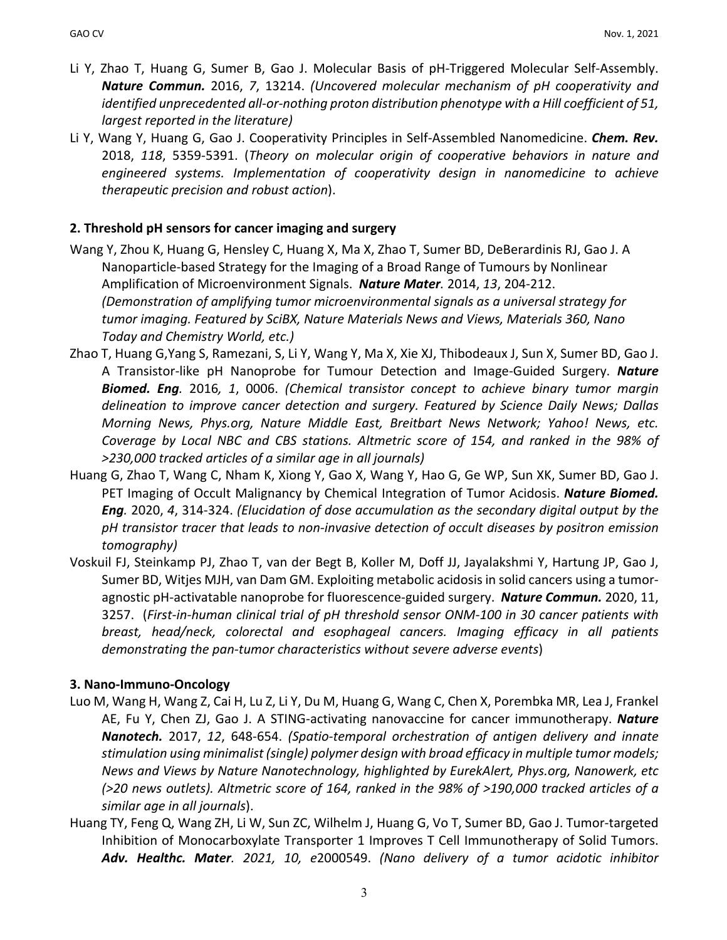- Li Y, Zhao T, Huang G, Sumer B, Gao J. Molecular Basis of pH-Triggered Molecular Self-Assembly. *Nature Commun.* 2016, *7*, 13214. *(Uncovered molecular mechanism of pH cooperativity and identified unprecedented all-or-nothing proton distribution phenotype with a Hill coefficient of 51, largest reported in the literature)*
- Li Y, Wang Y, Huang G, Gao J. Cooperativity Principles in Self-Assembled Nanomedicine. *Chem. Rev.* 2018, *118*, 5359-5391. (*Theory on molecular origin of cooperative behaviors in nature and engineered systems. Implementation of cooperativity design in nanomedicine to achieve therapeutic precision and robust action*).

### **2. Threshold pH sensors for cancer imaging and surgery**

- Wang Y, Zhou K, Huang G, Hensley C, Huang X, Ma X, Zhao T, Sumer BD, DeBerardinis RJ, Gao J. A Nanoparticle-based Strategy for the Imaging of a Broad Range of Tumours by Nonlinear Amplification of Microenvironment Signals. *Nature Mater.* 2014, *13*, 204-212. *(Demonstration of amplifying tumor microenvironmental signals as a universal strategy for tumor imaging. Featured by SciBX, Nature Materials News and Views, Materials 360, Nano Today and Chemistry World, etc.)*
- Zhao T, Huang G,Yang S, Ramezani, S, Li Y, Wang Y, Ma X, Xie XJ, Thibodeaux J, Sun X, Sumer BD, Gao J. A Transistor-like pH Nanoprobe for Tumour Detection and Image-Guided Surgery. *Nature Biomed. Eng.* 2016*, 1*, 0006. *(Chemical transistor concept to achieve binary tumor margin delineation to improve cancer detection and surgery. Featured by Science Daily News; Dallas Morning News, Phys.org, Nature Middle East, Breitbart News Network; Yahoo! News, etc. Coverage by Local NBC and CBS stations. Altmetric score of 154, and ranked in the 98% of >230,000 tracked articles of a similar age in all journals)*
- Huang G, Zhao T, Wang C, Nham K, Xiong Y, Gao X, Wang Y, Hao G, Ge WP, Sun XK, Sumer BD, Gao J. PET Imaging of Occult Malignancy by Chemical Integration of Tumor Acidosis. *Nature Biomed. Eng.* 2020, *4*, 314-324. *(Elucidation of dose accumulation as the secondary digital output by the pH transistor tracer that leads to non-invasive detection of occult diseases by positron emission tomography)*
- Voskuil FJ, Steinkamp PJ, Zhao T, van der Begt B, Koller M, Doff JJ, Jayalakshmi Y, Hartung JP, Gao J, Sumer BD, Witjes MJH, van Dam GM. Exploiting metabolic acidosis in solid cancers using a tumoragnostic pH-activatable nanoprobe for fluorescence-guided surgery. *Nature Commun.* 2020, 11, 3257. (*First-in-human clinical trial of pH threshold sensor ONM-100 in 30 cancer patients with breast, head/neck, colorectal and esophageal cancers. Imaging efficacy in all patients demonstrating the pan-tumor characteristics without severe adverse events*)

### **3. Nano-Immuno-Oncology**

- Luo M, Wang H, Wang Z, Cai H, Lu Z, Li Y, Du M, Huang G, Wang C, Chen X, Porembka MR, Lea J, Frankel AE, Fu Y, Chen ZJ, Gao J. A STING-activating nanovaccine for cancer immunotherapy. *Nature Nanotech.* 2017, *12*, 648-654. *(Spatio-temporal orchestration of antigen delivery and innate stimulation using minimalist (single) polymer design with broad efficacy in multiple tumor models; News and Views by Nature Nanotechnology, highlighted by EurekAlert, Phys.org, Nanowerk, etc (>20 news outlets). Altmetric score of 164, ranked in the 98% of >190,000 tracked articles of a similar age in all journals*).
- Huang TY, Feng Q, Wang ZH, Li W, Sun ZC, Wilhelm J, Huang G, Vo T, Sumer BD, Gao J. Tumor-targeted Inhibition of Monocarboxylate Transporter 1 Improves T Cell Immunotherapy of Solid Tumors. *Adv. Healthc. Mater. 2021, 10, e*2000549. *(Nano delivery of a tumor acidotic inhibitor*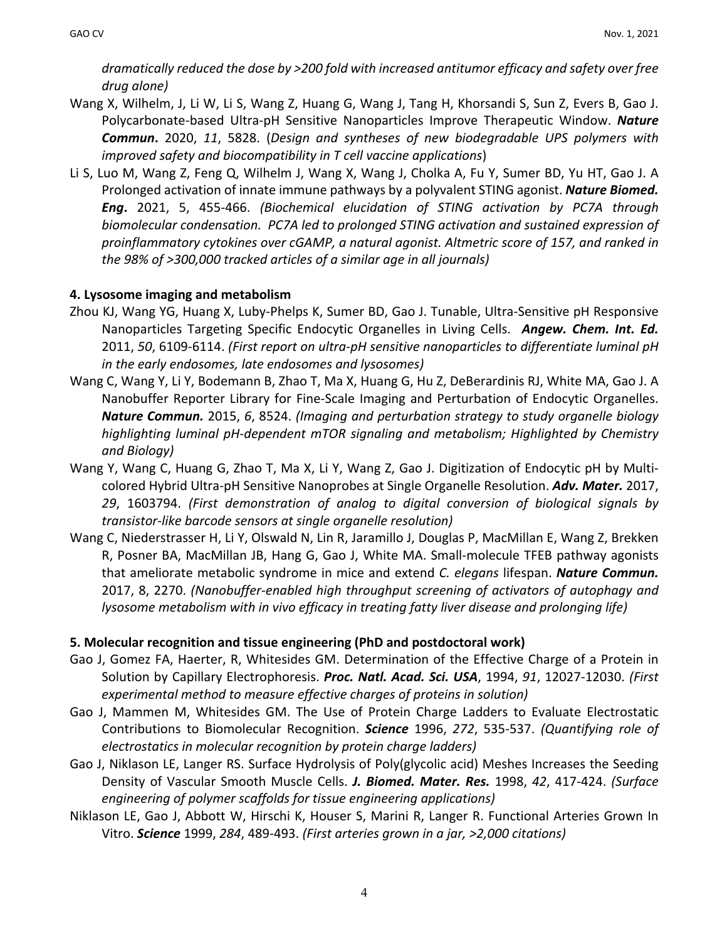*dramatically reduced the dose by >200 fold with increased antitumor efficacy and safety over free drug alone)*

- Wang X, Wilhelm, J, Li W, Li S, Wang Z, Huang G, Wang J, Tang H, Khorsandi S, Sun Z, Evers B, Gao J. Polycarbonate-based Ultra-pH Sensitive Nanoparticles Improve Therapeutic Window. *Nature Commun***.** 2020, *11*, 5828. (*Design and syntheses of new biodegradable UPS polymers with improved safety and biocompatibility in T cell vaccine applications*)
- Li S, Luo M, Wang Z, Feng Q, Wilhelm J, Wang X, Wang J, Cholka A, Fu Y, Sumer BD, Yu HT, Gao J. A Prolonged activation of innate immune pathways by a polyvalent STING agonist. *Nature Biomed. Eng***.** 2021, 5, 455-466. *(Biochemical elucidation of STING activation by PC7A through biomolecular condensation. PC7A led to prolonged STING activation and sustained expression of proinflammatory cytokines over cGAMP, a natural agonist. Altmetric score of 157, and ranked in the 98% of >300,000 tracked articles of a similar age in all journals)*

# **4. Lysosome imaging and metabolism**

- Zhou KJ, Wang YG, Huang X, Luby-Phelps K, Sumer BD, Gao J. Tunable, Ultra-Sensitive pH Responsive Nanoparticles Targeting Specific Endocytic Organelles in Living Cells. *Angew. Chem. Int. Ed.*  2011, *50*, 6109-6114. *(First report on ultra-pH sensitive nanoparticles to differentiate luminal pH in the early endosomes, late endosomes and lysosomes)*
- Wang C, Wang Y, Li Y, Bodemann B, Zhao T, Ma X, Huang G, Hu Z, DeBerardinis RJ, White MA, Gao J. A Nanobuffer Reporter Library for Fine-Scale Imaging and Perturbation of Endocytic Organelles. *Nature Commun.* 2015, *6*, 8524. *(Imaging and perturbation strategy to study organelle biology highlighting luminal pH-dependent mTOR signaling and metabolism; Highlighted by Chemistry and Biology)*
- Wang Y, Wang C, Huang G, Zhao T, Ma X, Li Y, Wang Z, Gao J. Digitization of Endocytic pH by Multicolored Hybrid Ultra-pH Sensitive Nanoprobes at Single Organelle Resolution. *Adv. Mater.* 2017, *29*, 1603794. *(First demonstration of analog to digital conversion of biological signals by transistor-like barcode sensors at single organelle resolution)*
- Wang C, Niederstrasser H, Li Y, Olswald N, Lin R, Jaramillo J, Douglas P, MacMillan E, Wang Z, Brekken R, Posner BA, MacMillan JB, Hang G, Gao J, White MA. Small-molecule TFEB pathway agonists that ameliorate metabolic syndrome in mice and extend *C. elegans* lifespan. *Nature Commun.* 2017, 8, 2270. *(Nanobuffer-enabled high throughput screening of activators of autophagy and lysosome metabolism with in vivo efficacy in treating fatty liver disease and prolonging life)*

# **5. Molecular recognition and tissue engineering (PhD and postdoctoral work)**

- Gao J, Gomez FA, Haerter, R, Whitesides GM. Determination of the Effective Charge of a Protein in Solution by Capillary Electrophoresis. *Proc. Natl. Acad. Sci. USA*, 1994, *91*, 12027-12030. *(First experimental method to measure effective charges of proteins in solution)*
- Gao J, Mammen M, Whitesides GM. The Use of Protein Charge Ladders to Evaluate Electrostatic Contributions to Biomolecular Recognition. *Science* 1996, *272*, 535-537. *(Quantifying role of electrostatics in molecular recognition by protein charge ladders)*
- Gao J, Niklason LE, Langer RS. Surface Hydrolysis of Poly(glycolic acid) Meshes Increases the Seeding Density of Vascular Smooth Muscle Cells. *J. Biomed. Mater. Res.* 1998, *42*, 417-424. *(Surface engineering of polymer scaffolds for tissue engineering applications)*
- Niklason LE, Gao J, Abbott W, Hirschi K, Houser S, Marini R, Langer R. Functional Arteries Grown In Vitro. *Science* 1999, *284*, 489-493. *(First arteries grown in a jar, >2,000 citations)*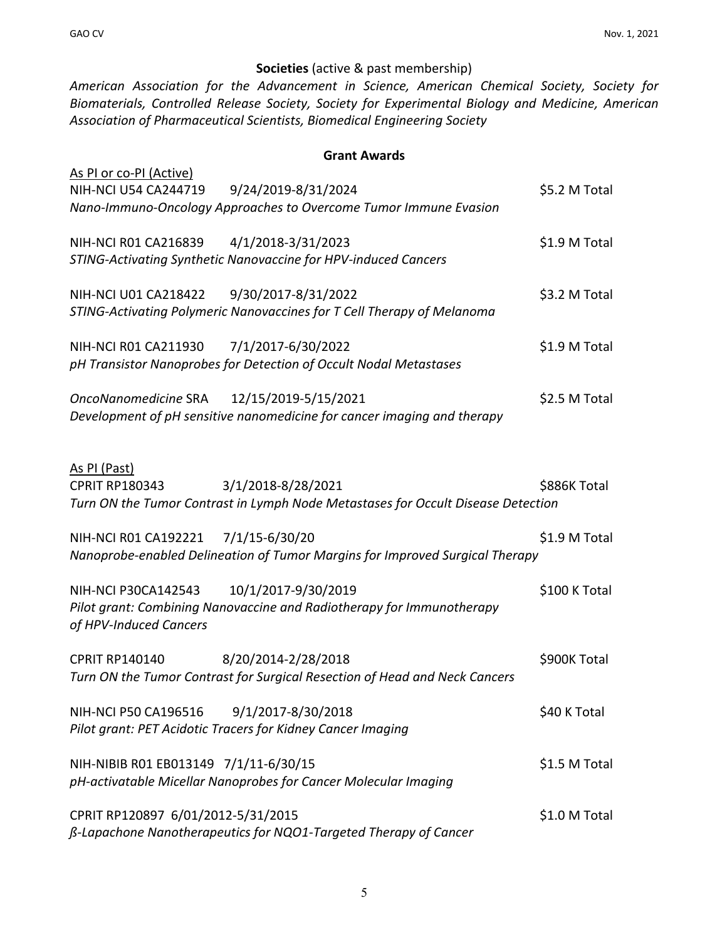# **Societies** (active & past membership)

*American Association for the Advancement in Science, American Chemical Society, Society for Biomaterials, Controlled Release Society, Society for Experimental Biology and Medicine, American Association of Pharmaceutical Scientists, Biomedical Engineering Society*

#### **Grant Awards**

| As PI or co-PI (Active)<br>9/24/2019-8/31/2024<br><b>NIH-NCI U54 CA244719</b><br>Nano-Immuno-Oncology Approaches to Overcome Tumor Immune Evasion | \$5.2 M Total |
|---------------------------------------------------------------------------------------------------------------------------------------------------|---------------|
| NIH-NCI R01 CA216839 4/1/2018-3/31/2023<br>STING-Activating Synthetic Nanovaccine for HPV-induced Cancers                                         | \$1.9 M Total |
| NIH-NCI U01 CA218422 9/30/2017-8/31/2022<br>STING-Activating Polymeric Nanovaccines for T Cell Therapy of Melanoma                                | \$3.2 M Total |
| NIH-NCI R01 CA211930<br>7/1/2017-6/30/2022<br>pH Transistor Nanoprobes for Detection of Occult Nodal Metastases                                   | \$1.9 M Total |
| OncoNanomedicine SRA 12/15/2019-5/15/2021<br>Development of pH sensitive nanomedicine for cancer imaging and therapy                              | \$2.5 M Total |
| As PI (Past)<br>3/1/2018-8/28/2021<br><b>CPRIT RP180343</b><br>Turn ON the Tumor Contrast in Lymph Node Metastases for Occult Disease Detection   | \$886K Total  |
| NIH-NCI R01 CA192221 7/1/15-6/30/20<br>Nanoprobe-enabled Delineation of Tumor Margins for Improved Surgical Therapy                               | \$1.9 M Total |
| 10/1/2017-9/30/2019<br>NIH-NCI P30CA142543<br>Pilot grant: Combining Nanovaccine and Radiotherapy for Immunotherapy<br>of HPV-Induced Cancers     | \$100 K Total |
| <b>CPRIT RP140140</b><br>8/20/2014-2/28/2018<br>Turn ON the Tumor Contrast for Surgical Resection of Head and Neck Cancers                        | \$900K Total  |
| <b>NIH-NCI P50 CA196516</b><br>9/1/2017-8/30/2018<br>Pilot grant: PET Acidotic Tracers for Kidney Cancer Imaging                                  | \$40 K Total  |
| NIH-NIBIB R01 EB013149 7/1/11-6/30/15<br>pH-activatable Micellar Nanoprobes for Cancer Molecular Imaging                                          | \$1.5 M Total |
| CPRIT RP120897 6/01/2012-5/31/2015<br>ß-Lapachone Nanotherapeutics for NQO1-Targeted Therapy of Cancer                                            | \$1.0 M Total |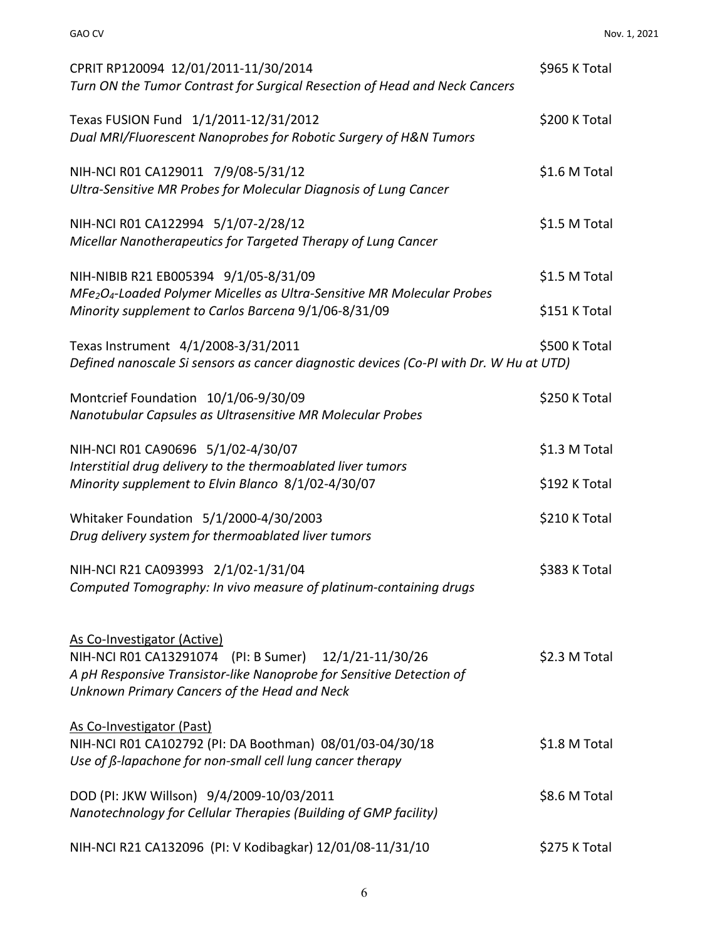| CPRIT RP120094 12/01/2011-11/30/2014<br>Turn ON the Tumor Contrast for Surgical Resection of Head and Neck Cancers                                                                                           | \$965 K Total |
|--------------------------------------------------------------------------------------------------------------------------------------------------------------------------------------------------------------|---------------|
| Texas FUSION Fund 1/1/2011-12/31/2012<br>Dual MRI/Fluorescent Nanoprobes for Robotic Surgery of H&N Tumors                                                                                                   | \$200 K Total |
| NIH-NCI R01 CA129011 7/9/08-5/31/12<br>Ultra-Sensitive MR Probes for Molecular Diagnosis of Lung Cancer                                                                                                      | \$1.6 M Total |
| NIH-NCI R01 CA122994 5/1/07-2/28/12<br>Micellar Nanotherapeutics for Targeted Therapy of Lung Cancer                                                                                                         | \$1.5 M Total |
| NIH-NIBIB R21 EB005394 9/1/05-8/31/09<br>MFe <sub>2</sub> O <sub>4</sub> -Loaded Polymer Micelles as Ultra-Sensitive MR Molecular Probes                                                                     | \$1.5 M Total |
| Minority supplement to Carlos Barcena 9/1/06-8/31/09                                                                                                                                                         | \$151 K Total |
| Texas Instrument 4/1/2008-3/31/2011<br>Defined nanoscale Si sensors as cancer diagnostic devices (Co-PI with Dr. W Hu at UTD)                                                                                | \$500 K Total |
| Montcrief Foundation 10/1/06-9/30/09<br>Nanotubular Capsules as Ultrasensitive MR Molecular Probes                                                                                                           | \$250 K Total |
| NIH-NCI R01 CA90696 5/1/02-4/30/07                                                                                                                                                                           | \$1.3 M Total |
| Interstitial drug delivery to the thermoablated liver tumors<br>Minority supplement to Elvin Blanco 8/1/02-4/30/07                                                                                           | \$192 K Total |
| Whitaker Foundation 5/1/2000-4/30/2003<br>Drug delivery system for thermoablated liver tumors                                                                                                                | \$210 K Total |
| NIH-NCI R21 CA093993 2/1/02-1/31/04<br>Computed Tomography: In vivo measure of platinum-containing drugs                                                                                                     | \$383 K Total |
| As Co-Investigator (Active)<br>NIH-NCI R01 CA13291074 (PI: B Sumer) 12/1/21-11/30/26<br>A pH Responsive Transistor-like Nanoprobe for Sensitive Detection of<br>Unknown Primary Cancers of the Head and Neck | \$2.3 M Total |
| As Co-Investigator (Past)<br>NIH-NCI R01 CA102792 (PI: DA Boothman) 08/01/03-04/30/18<br>Use of $\beta$ -lapachone for non-small cell lung cancer therapy                                                    | \$1.8 M Total |
| DOD (PI: JKW Willson) 9/4/2009-10/03/2011<br>Nanotechnology for Cellular Therapies (Building of GMP facility)                                                                                                | \$8.6 M Total |
| NIH-NCI R21 CA132096 (PI: V Kodibagkar) 12/01/08-11/31/10                                                                                                                                                    | \$275 K Total |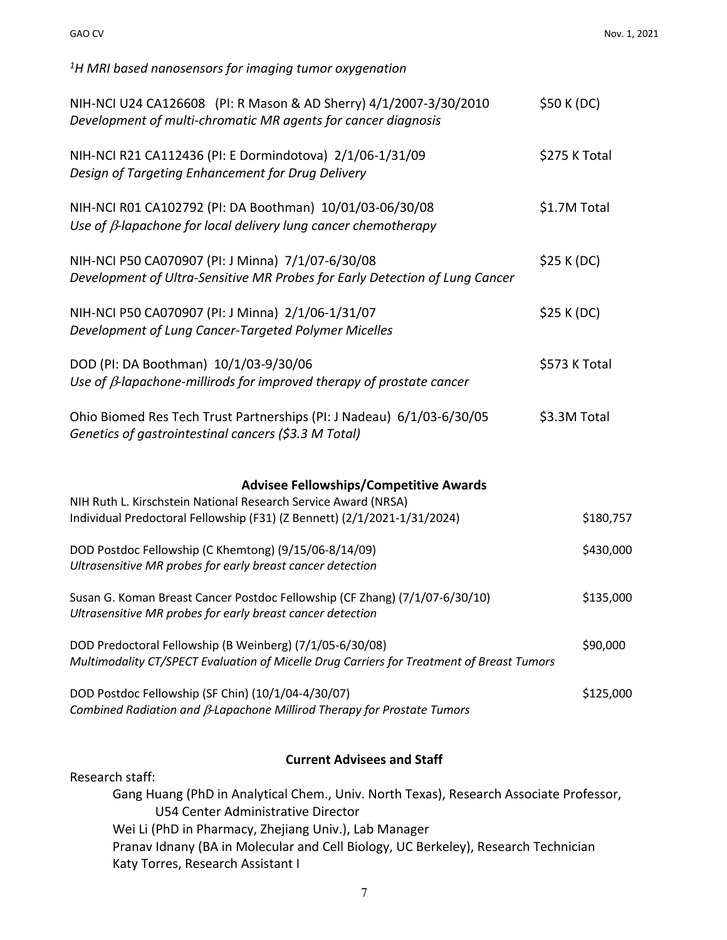*1 H MRI based nanosensors for imaging tumor oxygenation*

| NIH-NCI U24 CA126608 (PI: R Mason & AD Sherry) 4/1/2007-3/30/2010<br>Development of multi-chromatic MR agents for cancer diagnosis                    | \$50 K (DC)   |           |
|-------------------------------------------------------------------------------------------------------------------------------------------------------|---------------|-----------|
| NIH-NCI R21 CA112436 (PI: E Dormindotova) 2/1/06-1/31/09<br>Design of Targeting Enhancement for Drug Delivery                                         | \$275 K Total |           |
| NIH-NCI R01 CA102792 (PI: DA Boothman) 10/01/03-06/30/08<br>Use of $\beta$ -lapachone for local delivery lung cancer chemotherapy                     | \$1.7M Total  |           |
| NIH-NCI P50 CA070907 (PI: J Minna) 7/1/07-6/30/08<br>Development of Ultra-Sensitive MR Probes for Early Detection of Lung Cancer                      | \$25 K (DC)   |           |
| NIH-NCI P50 CA070907 (PI: J Minna) 2/1/06-1/31/07<br>Development of Lung Cancer-Targeted Polymer Micelles                                             | \$25 K (DC)   |           |
| DOD (PI: DA Boothman) 10/1/03-9/30/06<br>Use of $\beta$ -lapachone-millirods for improved therapy of prostate cancer                                  | \$573 K Total |           |
| Ohio Biomed Res Tech Trust Partnerships (PI: J Nadeau) 6/1/03-6/30/05<br>Genetics of gastrointestinal cancers (\$3.3 M Total)                         | \$3.3M Total  |           |
| <b>Advisee Fellowships/Competitive Awards</b>                                                                                                         |               |           |
| NIH Ruth L. Kirschstein National Research Service Award (NRSA)<br>Individual Predoctoral Fellowship (F31) (Z Bennett) (2/1/2021-1/31/2024)            |               | \$180,757 |
| DOD Postdoc Fellowship (C Khemtong) (9/15/06-8/14/09)<br>Ultrasensitive MR probes for early breast cancer detection                                   |               | \$430,000 |
| Susan G. Koman Breast Cancer Postdoc Fellowship (CF Zhang) (7/1/07-6/30/10)<br>Ultrasensitive MR probes for early breast cancer detection             |               | \$135,000 |
| DOD Predoctoral Fellowship (B Weinberg) (7/1/05-6/30/08)<br>Multimodality CT/SPECT Evaluation of Micelle Drug Carriers for Treatment of Breast Tumors |               | \$90,000  |
| DOD Postdoc Fellowship (SF Chin) (10/1/04-4/30/07)<br>Combined Radiation and $\beta$ -Lapachone Millirod Therapy for Prostate Tumors                  |               | \$125,000 |
|                                                                                                                                                       |               |           |

#### **Current Advisees and Staff**

Research staff:

Gang Huang (PhD in Analytical Chem., Univ. North Texas), Research Associate Professor, U54 Center Administrative Director Wei Li (PhD in Pharmacy, Zhejiang Univ.), Lab Manager Pranav Idnany (BA in Molecular and Cell Biology, UC Berkeley), Research Technician Katy Torres, Research Assistant I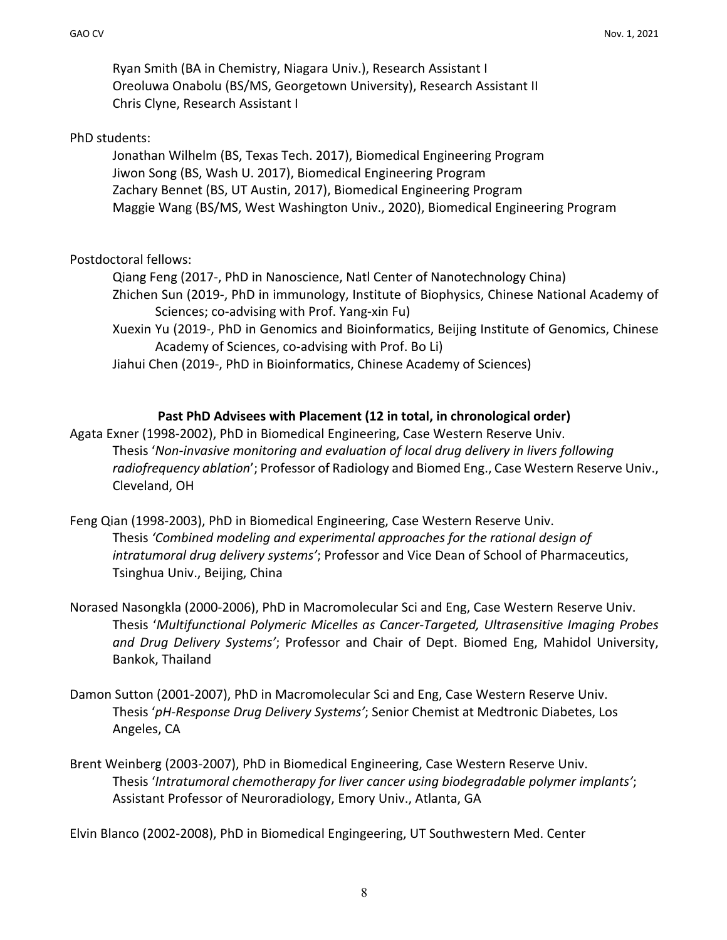Ryan Smith (BA in Chemistry, Niagara Univ.), Research Assistant I Oreoluwa Onabolu (BS/MS, Georgetown University), Research Assistant II Chris Clyne, Research Assistant I

### PhD students:

Jonathan Wilhelm (BS, Texas Tech. 2017), Biomedical Engineering Program Jiwon Song (BS, Wash U. 2017), Biomedical Engineering Program Zachary Bennet (BS, UT Austin, 2017), Biomedical Engineering Program Maggie Wang (BS/MS, West Washington Univ., 2020), Biomedical Engineering Program

### Postdoctoral fellows:

Qiang Feng (2017-, PhD in Nanoscience, Natl Center of Nanotechnology China) Zhichen Sun (2019-, PhD in immunology, Institute of Biophysics, Chinese National Academy of Sciences; co-advising with Prof. Yang-xin Fu) Xuexin Yu (2019-, PhD in Genomics and Bioinformatics, Beijing Institute of Genomics, Chinese

Academy of Sciences, co-advising with Prof. Bo Li) Jiahui Chen (2019-, PhD in Bioinformatics, Chinese Academy of Sciences)

### **Past PhD Advisees with Placement (12 in total, in chronological order)**

Agata Exner (1998-2002), PhD in Biomedical Engineering, Case Western Reserve Univ. Thesis '*Non-invasive monitoring and evaluation of local drug delivery in livers following radiofrequency ablation*'; Professor of Radiology and Biomed Eng., Case Western Reserve Univ., Cleveland, OH

- Feng Qian (1998-2003), PhD in Biomedical Engineering, Case Western Reserve Univ. Thesis *'Combined modeling and experimental approaches for the rational design of intratumoral drug delivery systems'*; Professor and Vice Dean of School of Pharmaceutics, Tsinghua Univ., Beijing, China
- Norased Nasongkla (2000-2006), PhD in Macromolecular Sci and Eng, Case Western Reserve Univ. Thesis '*Multifunctional Polymeric Micelles as Cancer-Targeted, Ultrasensitive Imaging Probes and Drug Delivery Systems'*; Professor and Chair of Dept. Biomed Eng, Mahidol University, Bankok, Thailand
- Damon Sutton (2001-2007), PhD in Macromolecular Sci and Eng, Case Western Reserve Univ. Thesis '*pH-Response Drug Delivery Systems'*; Senior Chemist at Medtronic Diabetes, Los Angeles, CA
- Brent Weinberg (2003-2007), PhD in Biomedical Engineering, Case Western Reserve Univ. Thesis '*Intratumoral chemotherapy for liver cancer using biodegradable polymer implants'*; Assistant Professor of Neuroradiology, Emory Univ., Atlanta, GA

Elvin Blanco (2002-2008), PhD in Biomedical Engingeering, UT Southwestern Med. Center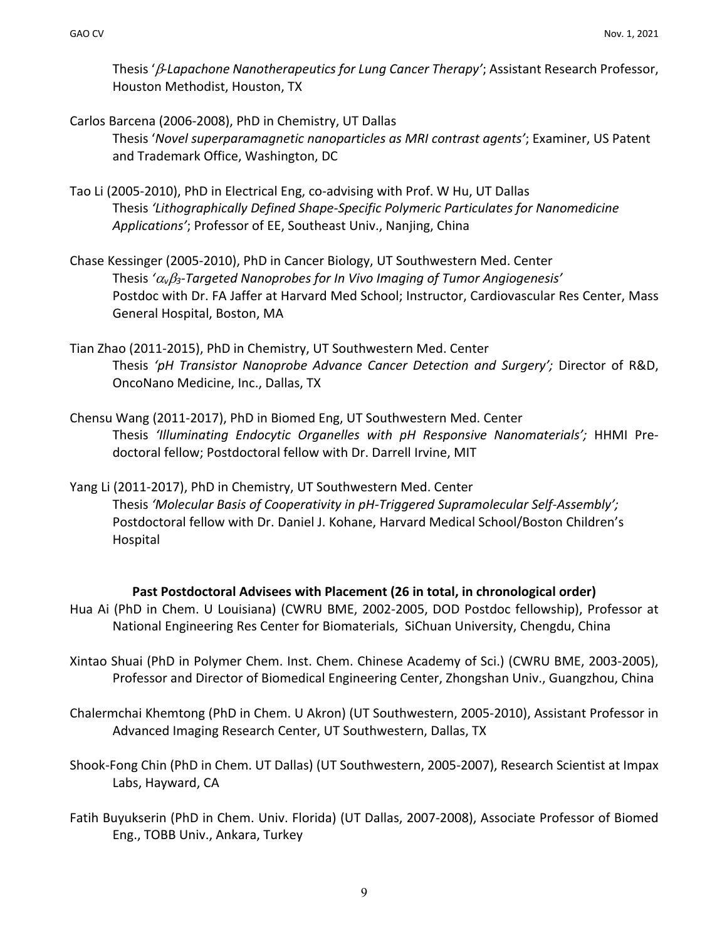Thesis ' $\beta$ -Lapachone Nanotherapeutics for Lung Cancer Therapy'; Assistant Research Professor, Houston Methodist, Houston, TX

- Carlos Barcena (2006-2008), PhD in Chemistry, UT Dallas Thesis '*Novel superparamagnetic nanoparticles as MRI contrast agents'*; Examiner, US Patent and Trademark Office, Washington, DC
- Tao Li (2005-2010), PhD in Electrical Eng, co-advising with Prof. W Hu, UT Dallas Thesis *'Lithographically Defined Shape-Specific Polymeric Particulates for Nanomedicine Applications'*; Professor of EE, Southeast Univ., Nanjing, China
- Chase Kessinger (2005-2010), PhD in Cancer Biology, UT Southwestern Med. Center Thesis *'*<sup>a</sup>*v*b*3-Targeted Nanoprobes for In Vivo Imaging of Tumor Angiogenesis'* Postdoc with Dr. FA Jaffer at Harvard Med School; Instructor, Cardiovascular Res Center, Mass General Hospital, Boston, MA
- Tian Zhao (2011-2015), PhD in Chemistry, UT Southwestern Med. Center Thesis *'pH Transistor Nanoprobe Advance Cancer Detection and Surgery';* Director of R&D, OncoNano Medicine, Inc., Dallas, TX
- Chensu Wang (2011-2017), PhD in Biomed Eng, UT Southwestern Med. Center Thesis *'Illuminating Endocytic Organelles with pH Responsive Nanomaterials';* HHMI Predoctoral fellow; Postdoctoral fellow with Dr. Darrell Irvine, MIT
- Yang Li (2011-2017), PhD in Chemistry, UT Southwestern Med. Center Thesis *'Molecular Basis of Cooperativity in pH-Triggered Supramolecular Self-Assembly';*  Postdoctoral fellow with Dr. Daniel J. Kohane, Harvard Medical School/Boston Children's Hospital

#### **Past Postdoctoral Advisees with Placement (26 in total, in chronological order)**

- Hua Ai (PhD in Chem. U Louisiana) (CWRU BME, 2002-2005, DOD Postdoc fellowship), Professor at National Engineering Res Center for Biomaterials, SiChuan University, Chengdu, China
- Xintao Shuai (PhD in Polymer Chem. Inst. Chem. Chinese Academy of Sci.) (CWRU BME, 2003-2005), Professor and Director of Biomedical Engineering Center, Zhongshan Univ., Guangzhou, China
- Chalermchai Khemtong (PhD in Chem. U Akron) (UT Southwestern, 2005-2010), Assistant Professor in Advanced Imaging Research Center, UT Southwestern, Dallas, TX
- Shook-Fong Chin (PhD in Chem. UT Dallas) (UT Southwestern, 2005-2007), Research Scientist at Impax Labs, Hayward, CA
- Fatih Buyukserin (PhD in Chem. Univ. Florida) (UT Dallas, 2007-2008), Associate Professor of Biomed Eng., TOBB Univ., Ankara, Turkey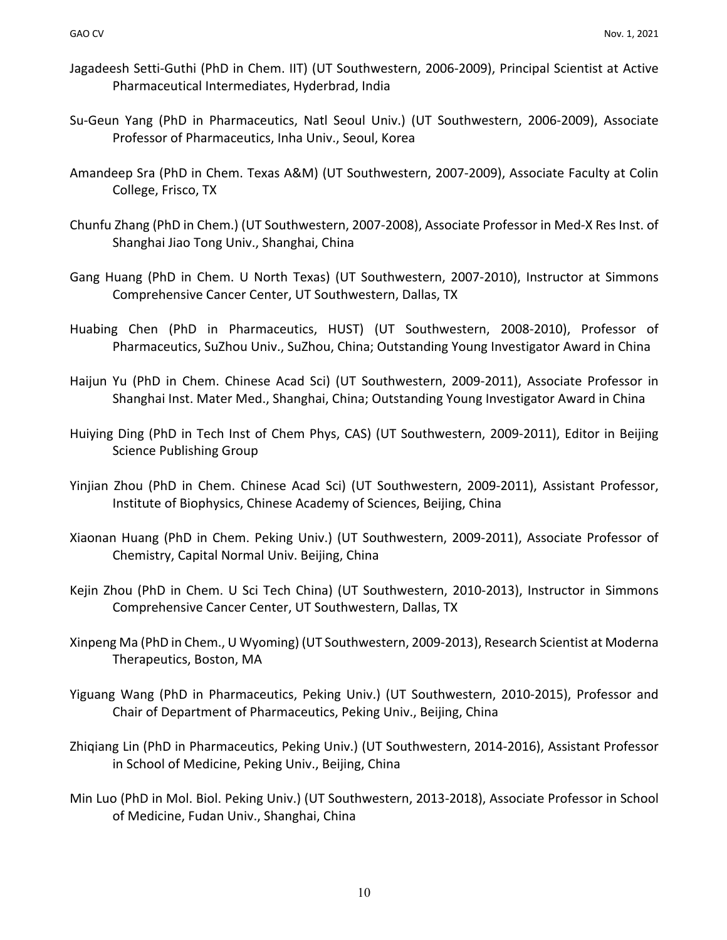- Jagadeesh Setti-Guthi (PhD in Chem. IIT) (UT Southwestern, 2006-2009), Principal Scientist at Active Pharmaceutical Intermediates, Hyderbrad, India
- Su-Geun Yang (PhD in Pharmaceutics, Natl Seoul Univ.) (UT Southwestern, 2006-2009), Associate Professor of Pharmaceutics, Inha Univ., Seoul, Korea
- Amandeep Sra (PhD in Chem. Texas A&M) (UT Southwestern, 2007-2009), Associate Faculty at Colin College, Frisco, TX
- Chunfu Zhang (PhD in Chem.) (UT Southwestern, 2007-2008), Associate Professor in Med-X Res Inst. of Shanghai Jiao Tong Univ., Shanghai, China
- Gang Huang (PhD in Chem. U North Texas) (UT Southwestern, 2007-2010), Instructor at Simmons Comprehensive Cancer Center, UT Southwestern, Dallas, TX
- Huabing Chen (PhD in Pharmaceutics, HUST) (UT Southwestern, 2008-2010), Professor of Pharmaceutics, SuZhou Univ., SuZhou, China; Outstanding Young Investigator Award in China
- Haijun Yu (PhD in Chem. Chinese Acad Sci) (UT Southwestern, 2009-2011), Associate Professor in Shanghai Inst. Mater Med., Shanghai, China; Outstanding Young Investigator Award in China
- Huiying Ding (PhD in Tech Inst of Chem Phys, CAS) (UT Southwestern, 2009-2011), Editor in Beijing Science Publishing Group
- Yinjian Zhou (PhD in Chem. Chinese Acad Sci) (UT Southwestern, 2009-2011), Assistant Professor, Institute of Biophysics, Chinese Academy of Sciences, Beijing, China
- Xiaonan Huang (PhD in Chem. Peking Univ.) (UT Southwestern, 2009-2011), Associate Professor of Chemistry, Capital Normal Univ. Beijing, China
- Kejin Zhou (PhD in Chem. U Sci Tech China) (UT Southwestern, 2010-2013), Instructor in Simmons Comprehensive Cancer Center, UT Southwestern, Dallas, TX
- Xinpeng Ma (PhD in Chem., U Wyoming) (UT Southwestern, 2009-2013), Research Scientist at Moderna Therapeutics, Boston, MA
- Yiguang Wang (PhD in Pharmaceutics, Peking Univ.) (UT Southwestern, 2010-2015), Professor and Chair of Department of Pharmaceutics, Peking Univ., Beijing, China
- Zhiqiang Lin (PhD in Pharmaceutics, Peking Univ.) (UT Southwestern, 2014-2016), Assistant Professor in School of Medicine, Peking Univ., Beijing, China
- Min Luo (PhD in Mol. Biol. Peking Univ.) (UT Southwestern, 2013-2018), Associate Professor in School of Medicine, Fudan Univ., Shanghai, China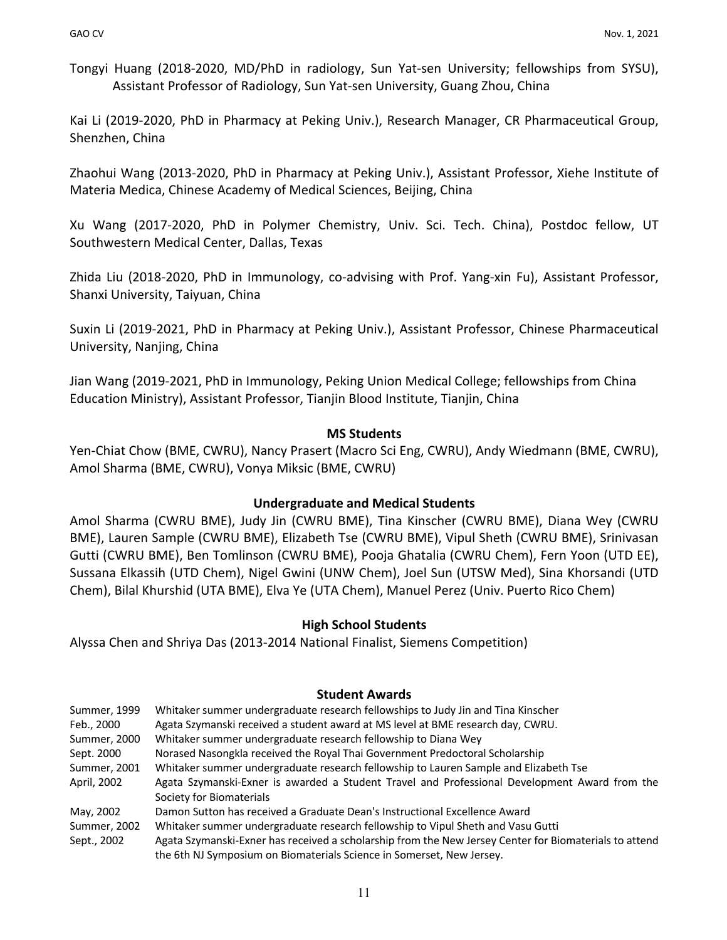Tongyi Huang (2018-2020, MD/PhD in radiology, Sun Yat-sen University; fellowships from SYSU), Assistant Professor of Radiology, Sun Yat-sen University, Guang Zhou, China

Kai Li (2019-2020, PhD in Pharmacy at Peking Univ.), Research Manager, CR Pharmaceutical Group, Shenzhen, China

Zhaohui Wang (2013-2020, PhD in Pharmacy at Peking Univ.), Assistant Professor, Xiehe Institute of Materia Medica, Chinese Academy of Medical Sciences, Beijing, China

Xu Wang (2017-2020, PhD in Polymer Chemistry, Univ. Sci. Tech. China), Postdoc fellow, UT Southwestern Medical Center, Dallas, Texas

Zhida Liu (2018-2020, PhD in Immunology, co-advising with Prof. Yang-xin Fu), Assistant Professor, Shanxi University, Taiyuan, China

Suxin Li (2019-2021, PhD in Pharmacy at Peking Univ.), Assistant Professor, Chinese Pharmaceutical University, Nanjing, China

Jian Wang (2019-2021, PhD in Immunology, Peking Union Medical College; fellowships from China Education Ministry), Assistant Professor, Tianjin Blood Institute, Tianjin, China

### **MS Students**

Yen-Chiat Chow (BME, CWRU), Nancy Prasert (Macro Sci Eng, CWRU), Andy Wiedmann (BME, CWRU), Amol Sharma (BME, CWRU), Vonya Miksic (BME, CWRU)

### **Undergraduate and Medical Students**

Amol Sharma (CWRU BME), Judy Jin (CWRU BME), Tina Kinscher (CWRU BME), Diana Wey (CWRU BME), Lauren Sample (CWRU BME), Elizabeth Tse (CWRU BME), Vipul Sheth (CWRU BME), Srinivasan Gutti (CWRU BME), Ben Tomlinson (CWRU BME), Pooja Ghatalia (CWRU Chem), Fern Yoon (UTD EE), Sussana Elkassih (UTD Chem), Nigel Gwini (UNW Chem), Joel Sun (UTSW Med), Sina Khorsandi (UTD Chem), Bilal Khurshid (UTA BME), Elva Ye (UTA Chem), Manuel Perez (Univ. Puerto Rico Chem)

### **High School Students**

Alyssa Chen and Shriya Das (2013-2014 National Finalist, Siemens Competition)

### **Student Awards**

| Summer, 1999 | Whitaker summer undergraduate research fellowships to Judy Jin and Tina Kinscher                       |
|--------------|--------------------------------------------------------------------------------------------------------|
| Feb., 2000   | Agata Szymanski received a student award at MS level at BME research day, CWRU.                        |
| Summer, 2000 | Whitaker summer undergraduate research fellowship to Diana Wey                                         |
| Sept. 2000   | Norased Nasongkla received the Royal Thai Government Predoctoral Scholarship                           |
| Summer, 2001 | Whitaker summer undergraduate research fellowship to Lauren Sample and Elizabeth Tse                   |
| April, 2002  | Agata Szymanski-Exner is awarded a Student Travel and Professional Development Award from the          |
|              | Society for Biomaterials                                                                               |
| May, 2002    | Damon Sutton has received a Graduate Dean's Instructional Excellence Award                             |
| Summer, 2002 | Whitaker summer undergraduate research fellowship to Vipul Sheth and Vasu Gutti                        |
| Sept., 2002  | Agata Szymanski-Exner has received a scholarship from the New Jersey Center for Biomaterials to attend |
|              | the 6th NJ Symposium on Biomaterials Science in Somerset, New Jersey.                                  |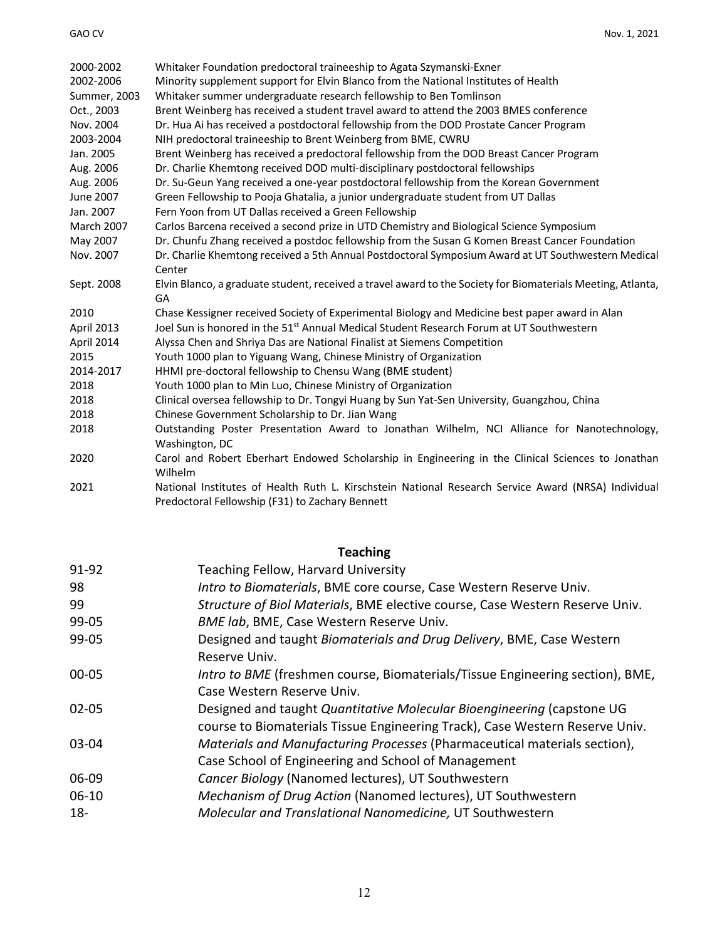| 2000-2002         | Whitaker Foundation predoctoral traineeship to Agata Szymanski-Exner                                        |
|-------------------|-------------------------------------------------------------------------------------------------------------|
| 2002-2006         | Minority supplement support for Elvin Blanco from the National Institutes of Health                         |
| Summer, 2003      | Whitaker summer undergraduate research fellowship to Ben Tomlinson                                          |
| Oct., 2003        | Brent Weinberg has received a student travel award to attend the 2003 BMES conference                       |
| Nov. 2004         | Dr. Hua Ai has received a postdoctoral fellowship from the DOD Prostate Cancer Program                      |
| 2003-2004         | NIH predoctoral traineeship to Brent Weinberg from BME, CWRU                                                |
| Jan. 2005         | Brent Weinberg has received a predoctoral fellowship from the DOD Breast Cancer Program                     |
| Aug. 2006         | Dr. Charlie Khemtong received DOD multi-disciplinary postdoctoral fellowships                               |
| Aug. 2006         | Dr. Su-Geun Yang received a one-year postdoctoral fellowship from the Korean Government                     |
| June 2007         | Green Fellowship to Pooja Ghatalia, a junior undergraduate student from UT Dallas                           |
| Jan. 2007         | Fern Yoon from UT Dallas received a Green Fellowship                                                        |
| <b>March 2007</b> | Carlos Barcena received a second prize in UTD Chemistry and Biological Science Symposium                    |
| May 2007          | Dr. Chunfu Zhang received a postdoc fellowship from the Susan G Komen Breast Cancer Foundation              |
| Nov. 2007         | Dr. Charlie Khemtong received a 5th Annual Postdoctoral Symposium Award at UT Southwestern Medical          |
|                   | Center                                                                                                      |
| Sept. 2008        | Elvin Blanco, a graduate student, received a travel award to the Society for Biomaterials Meeting, Atlanta, |
|                   | GA                                                                                                          |
| 2010              | Chase Kessigner received Society of Experimental Biology and Medicine best paper award in Alan              |
| April 2013        | Joel Sun is honored in the 51 <sup>st</sup> Annual Medical Student Research Forum at UT Southwestern        |
| April 2014        | Alyssa Chen and Shriya Das are National Finalist at Siemens Competition                                     |
| 2015              | Youth 1000 plan to Yiguang Wang, Chinese Ministry of Organization                                           |
| 2014-2017         | HHMI pre-doctoral fellowship to Chensu Wang (BME student)                                                   |
| 2018              | Youth 1000 plan to Min Luo, Chinese Ministry of Organization                                                |
| 2018              | Clinical oversea fellowship to Dr. Tongyi Huang by Sun Yat-Sen University, Guangzhou, China                 |
| 2018              | Chinese Government Scholarship to Dr. Jian Wang                                                             |
| 2018              | Outstanding Poster Presentation Award to Jonathan Wilhelm, NCI Alliance for Nanotechnology,                 |
|                   | Washington, DC                                                                                              |
| 2020              | Carol and Robert Eberhart Endowed Scholarship in Engineering in the Clinical Sciences to Jonathan           |
|                   | Wilhelm                                                                                                     |
| 2021              | National Institutes of Health Ruth L. Kirschstein National Research Service Award (NRSA) Individual         |
|                   | Predoctoral Fellowship (F31) to Zachary Bennett                                                             |

# **Teaching**

| 91-92     | Teaching Fellow, Harvard University                                           |
|-----------|-------------------------------------------------------------------------------|
| 98        | Intro to Biomaterials, BME core course, Case Western Reserve Univ.            |
| 99        | Structure of Biol Materials, BME elective course, Case Western Reserve Univ.  |
| $99 - 05$ | BME lab, BME, Case Western Reserve Univ.                                      |
| 99-05     | Designed and taught Biomaterials and Drug Delivery, BME, Case Western         |
|           | Reserve Univ.                                                                 |
| $00 - 05$ | Intro to BME (freshmen course, Biomaterials/Tissue Engineering section), BME, |
|           | Case Western Reserve Univ.                                                    |
| $02 - 05$ | Designed and taught Quantitative Molecular Bioengineering (capstone UG        |
|           | course to Biomaterials Tissue Engineering Track), Case Western Reserve Univ.  |
| 03-04     | Materials and Manufacturing Processes (Pharmaceutical materials section),     |
|           | Case School of Engineering and School of Management                           |
| 06-09     | Cancer Biology (Nanomed lectures), UT Southwestern                            |
| $06 - 10$ | Mechanism of Drug Action (Nanomed lectures), UT Southwestern                  |
| $18 -$    | Molecular and Translational Nanomedicine, UT Southwestern                     |
|           |                                                                               |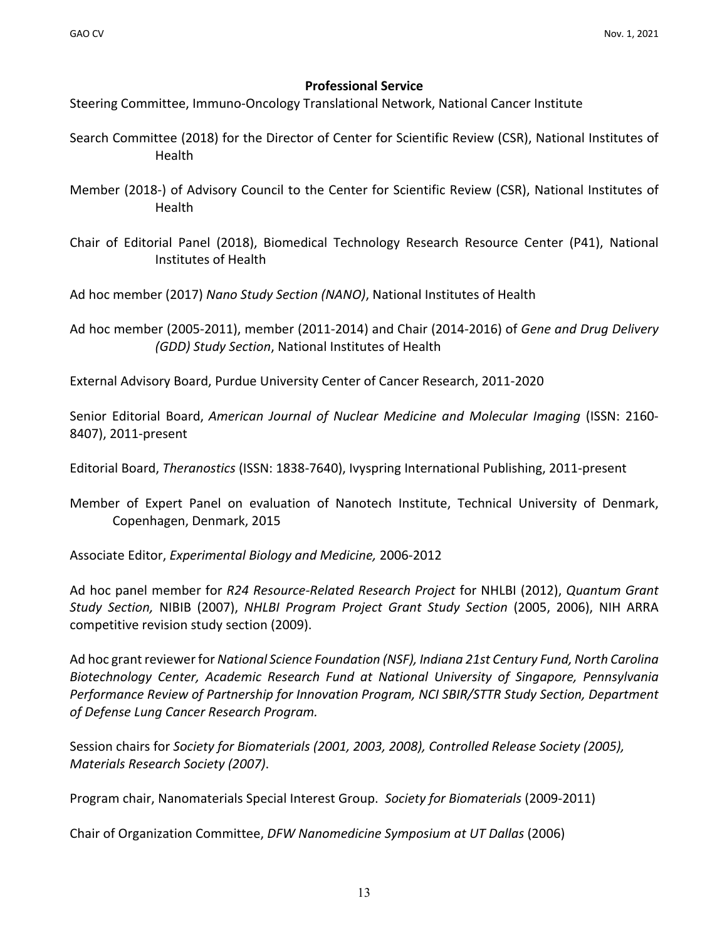### **Professional Service**

Steering Committee, Immuno-Oncology Translational Network, National Cancer Institute

- Search Committee (2018) for the Director of Center for Scientific Review (CSR), National Institutes of Health
- Member (2018-) of Advisory Council to the Center for Scientific Review (CSR), National Institutes of Health
- Chair of Editorial Panel (2018), Biomedical Technology Research Resource Center (P41), National Institutes of Health

Ad hoc member (2017) *Nano Study Section (NANO)*, National Institutes of Health

Ad hoc member (2005-2011), member (2011-2014) and Chair (2014-2016) of *Gene and Drug Delivery (GDD) Study Section*, National Institutes of Health

External Advisory Board, Purdue University Center of Cancer Research, 2011-2020

Senior Editorial Board, *American Journal of Nuclear Medicine and Molecular Imaging* (ISSN: 2160- 8407), 2011-present

Editorial Board, *Theranostics* (ISSN: 1838-7640), Ivyspring International Publishing, 2011-present

Member of Expert Panel on evaluation of Nanotech Institute, Technical University of Denmark, Copenhagen, Denmark, 2015

Associate Editor, *Experimental Biology and Medicine,* 2006-2012

Ad hoc panel member for *R24 Resource-Related Research Project* for NHLBI (2012), *Quantum Grant Study Section,* NIBIB (2007), *NHLBI Program Project Grant Study Section* (2005, 2006), NIH ARRA competitive revision study section (2009).

Ad hoc grant reviewer for *National Science Foundation (NSF), Indiana 21st Century Fund, North Carolina Biotechnology Center, Academic Research Fund at National University of Singapore, Pennsylvania Performance Review of Partnership for Innovation Program, NCI SBIR/STTR Study Section, Department of Defense Lung Cancer Research Program.*

Session chairs for *Society for Biomaterials (2001, 2003, 2008), Controlled Release Society (2005), Materials Research Society (2007)*.

Program chair, Nanomaterials Special Interest Group. *Society for Biomaterials* (2009-2011)

Chair of Organization Committee, *DFW Nanomedicine Symposium at UT Dallas* (2006)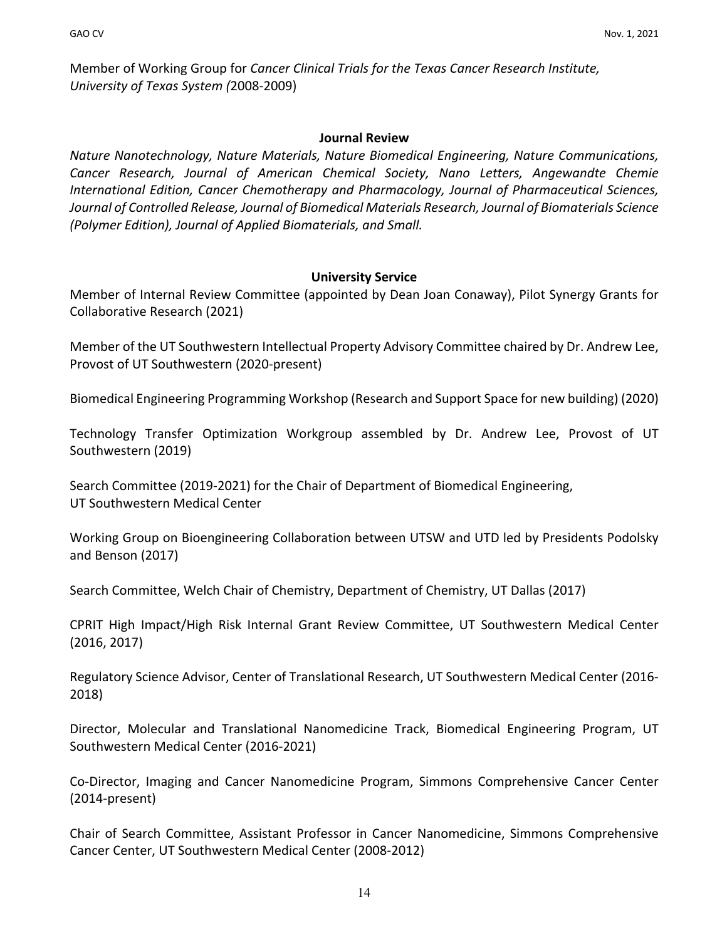Member of Working Group for *Cancer Clinical Trials for the Texas Cancer Research Institute, University of Texas System (*2008-2009)

#### **Journal Review**

*Nature Nanotechnology, Nature Materials, Nature Biomedical Engineering, Nature Communications, Cancer Research, Journal of American Chemical Society, Nano Letters, Angewandte Chemie International Edition, Cancer Chemotherapy and Pharmacology, Journal of Pharmaceutical Sciences, Journal of Controlled Release, Journal of Biomedical Materials Research, Journal of Biomaterials Science (Polymer Edition), Journal of Applied Biomaterials, and Small.* 

### **University Service**

Member of Internal Review Committee (appointed by Dean Joan Conaway), Pilot Synergy Grants for Collaborative Research (2021)

Member of the UT Southwestern Intellectual Property Advisory Committee chaired by Dr. Andrew Lee, Provost of UT Southwestern (2020-present)

Biomedical Engineering Programming Workshop (Research and Support Space for new building) (2020)

Technology Transfer Optimization Workgroup assembled by Dr. Andrew Lee, Provost of UT Southwestern (2019)

Search Committee (2019-2021) for the Chair of Department of Biomedical Engineering, UT Southwestern Medical Center

Working Group on Bioengineering Collaboration between UTSW and UTD led by Presidents Podolsky and Benson (2017)

Search Committee, Welch Chair of Chemistry, Department of Chemistry, UT Dallas (2017)

CPRIT High Impact/High Risk Internal Grant Review Committee, UT Southwestern Medical Center (2016, 2017)

Regulatory Science Advisor, Center of Translational Research, UT Southwestern Medical Center (2016- 2018)

Director, Molecular and Translational Nanomedicine Track, Biomedical Engineering Program, UT Southwestern Medical Center (2016-2021)

Co-Director, Imaging and Cancer Nanomedicine Program, Simmons Comprehensive Cancer Center (2014-present)

Chair of Search Committee, Assistant Professor in Cancer Nanomedicine, Simmons Comprehensive Cancer Center, UT Southwestern Medical Center (2008-2012)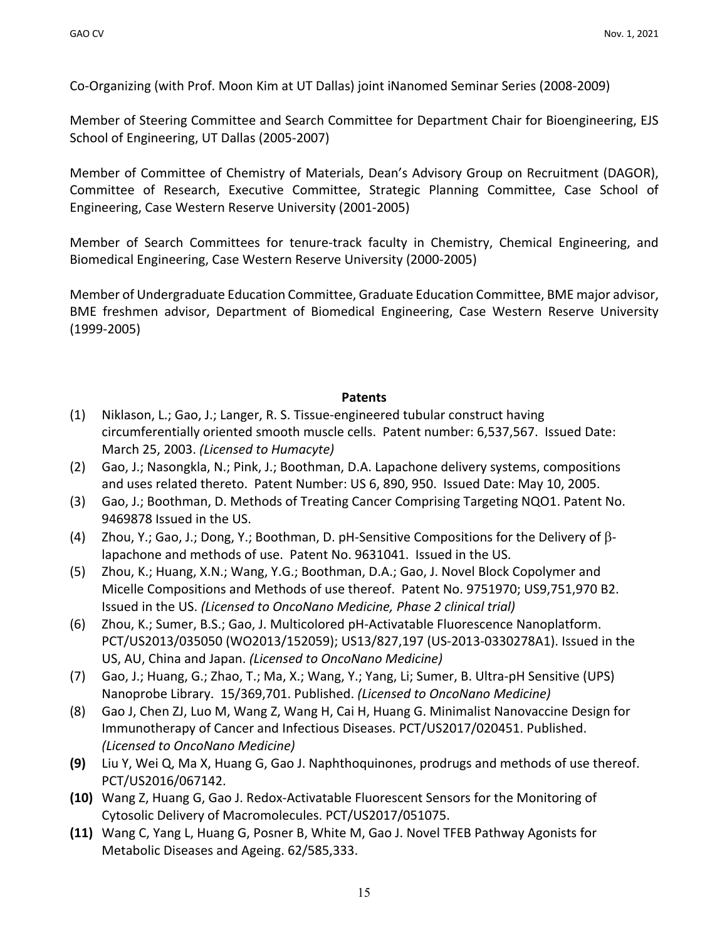Co-Organizing (with Prof. Moon Kim at UT Dallas) joint iNanomed Seminar Series (2008-2009)

Member of Steering Committee and Search Committee for Department Chair for Bioengineering, EJS School of Engineering, UT Dallas (2005-2007)

Member of Committee of Chemistry of Materials, Dean's Advisory Group on Recruitment (DAGOR), Committee of Research, Executive Committee, Strategic Planning Committee, Case School of Engineering, Case Western Reserve University (2001-2005)

Member of Search Committees for tenure-track faculty in Chemistry, Chemical Engineering, and Biomedical Engineering, Case Western Reserve University (2000-2005)

Member of Undergraduate Education Committee, Graduate Education Committee, BME major advisor, BME freshmen advisor, Department of Biomedical Engineering, Case Western Reserve University (1999-2005)

### **Patents**

- (1) Niklason, L.; Gao, J.; Langer, R. S. Tissue-engineered tubular construct having circumferentially oriented smooth muscle cells. Patent number: 6,537,567. Issued Date: March 25, 2003. *(Licensed to Humacyte)*
- (2) Gao, J.; Nasongkla, N.; Pink, J.; Boothman, D.A. Lapachone delivery systems, compositions and uses related thereto. Patent Number: US 6, 890, 950. Issued Date: May 10, 2005.
- (3) Gao, J.; Boothman, D. Methods of Treating Cancer Comprising Targeting NQO1. Patent No. 9469878 Issued in the US.
- (4) Zhou, Y.; Gao, J.; Dong, Y.; Boothman, D. pH-Sensitive Compositions for the Delivery of  $\beta$ lapachone and methods of use. Patent No. 9631041. Issued in the US.
- (5) Zhou, K.; Huang, X.N.; Wang, Y.G.; Boothman, D.A.; Gao, J. Novel Block Copolymer and Micelle Compositions and Methods of use thereof. Patent No. 9751970; US9,751,970 B2. Issued in the US. *(Licensed to OncoNano Medicine, Phase 2 clinical trial)*
- (6) Zhou, K.; Sumer, B.S.; Gao, J. Multicolored pH-Activatable Fluorescence Nanoplatform. PCT/US2013/035050 (WO2013/152059); US13/827,197 (US-2013-0330278A1). Issued in the US, AU, China and Japan. *(Licensed to OncoNano Medicine)*
- (7) Gao, J.; Huang, G.; Zhao, T.; Ma, X.; Wang, Y.; Yang, Li; Sumer, B. Ultra-pH Sensitive (UPS) Nanoprobe Library. 15/369,701. Published. *(Licensed to OncoNano Medicine)*
- (8) Gao J, Chen ZJ, Luo M, Wang Z, Wang H, Cai H, Huang G. Minimalist Nanovaccine Design for Immunotherapy of Cancer and Infectious Diseases. PCT/US2017/020451. Published. *(Licensed to OncoNano Medicine)*
- **(9)** Liu Y, Wei Q, Ma X, Huang G, Gao J. Naphthoquinones, prodrugs and methods of use thereof. PCT/US2016/067142.
- **(10)** Wang Z, Huang G, Gao J. Redox-Activatable Fluorescent Sensors for the Monitoring of Cytosolic Delivery of Macromolecules. PCT/US2017/051075.
- **(11)** Wang C, Yang L, Huang G, Posner B, White M, Gao J. Novel TFEB Pathway Agonists for Metabolic Diseases and Ageing. 62/585,333.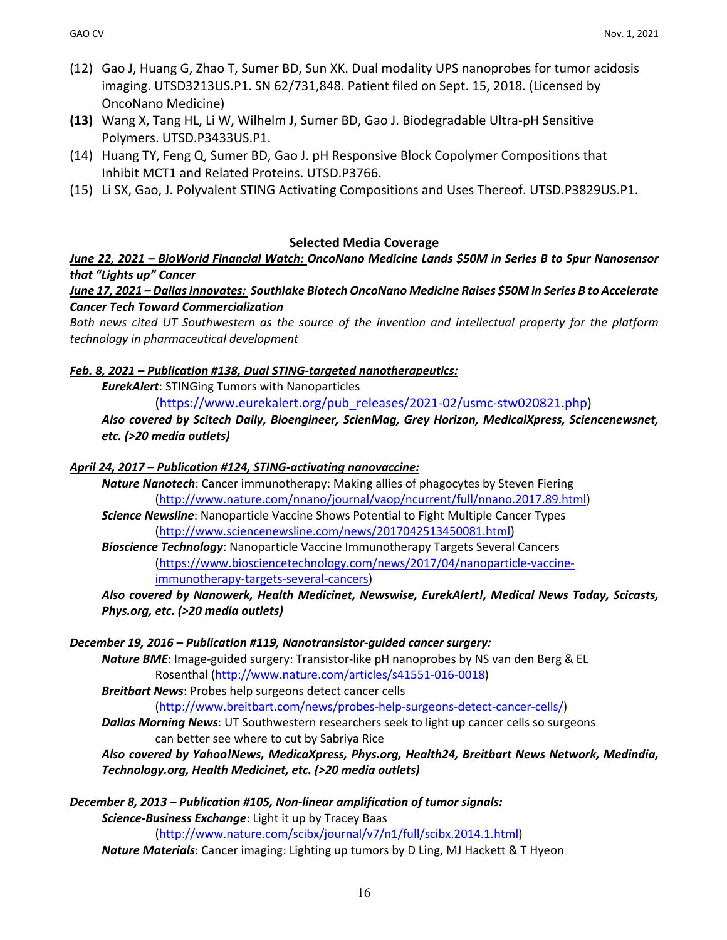- (12) Gao J, Huang G, Zhao T, Sumer BD, Sun XK. Dual modality UPS nanoprobes for tumor acidosis imaging. UTSD3213US.P1. SN 62/731,848. Patient filed on Sept. 15, 2018. (Licensed by OncoNano Medicine)
- **(13)** Wang X, Tang HL, Li W, Wilhelm J, Sumer BD, Gao J. Biodegradable Ultra-pH Sensitive Polymers. UTSD.P3433US.P1.
- (14) Huang TY, Feng Q, Sumer BD, Gao J. pH Responsive Block Copolymer Compositions that Inhibit MCT1 and Related Proteins. UTSD.P3766.
- (15) Li SX, Gao, J. Polyvalent STING Activating Compositions and Uses Thereof. UTSD.P3829US.P1.

### **Selected Media Coverage**

*June 22, 2021 – BioWorld Financial Watch: OncoNano Medicine Lands \$50M in Series B to Spur Nanosensor that "Lights up" Cancer*

*June 17, 2021 – Dallas Innovates: Southlake Biotech OncoNano Medicine Raises \$50M in Series B to Accelerate Cancer Tech Toward Commercialization*

*Both news cited UT Southwestern as the source of the invention and intellectual property for the platform technology in pharmaceutical development*

### *Feb. 8, 2021 – Publication #138, Dual STING-targeted nanotherapeutics:*

*EurekAlert*: STINGing Tumors with Nanoparticles

(https://www.eurekalert.org/pub\_releases/2021-02/usmc-stw020821.php)

*Also covered by Scitech Daily, Bioengineer, ScienMag, Grey Horizon, MedicalXpress, Sciencenewsnet, etc. (>20 media outlets)*

#### *April 24, 2017 – Publication #124, STING-activating nanovaccine:*

*Nature Nanotech*: Cancer immunotherapy: Making allies of phagocytes by Steven Fiering (http://www.nature.com/nnano/journal/vaop/ncurrent/full/nnano.2017.89.html)

*Science Newsline*: Nanoparticle Vaccine Shows Potential to Fight Multiple Cancer Types (http://www.sciencenewsline.com/news/2017042513450081.html)

*Bioscience Technology*: Nanoparticle Vaccine Immunotherapy Targets Several Cancers (https://www.biosciencetechnology.com/news/2017/04/nanoparticle-vaccineimmunotherapy-targets-several-cancers)

*Also covered by Nanowerk, Health Medicinet, Newswise, EurekAlert!, Medical News Today, Scicasts, Phys.org, etc. (>20 media outlets)*

#### *December 19, 2016 – Publication #119, Nanotransistor-guided cancer surgery:*

*Nature BME*: Image-guided surgery: Transistor-like pH nanoprobes by NS van den Berg & EL Rosenthal (http://www.nature.com/articles/s41551-016-0018)

*Breitbart News*: Probes help surgeons detect cancer cells

(http://www.breitbart.com/news/probes-help-surgeons-detect-cancer-cells/)

*Dallas Morning News*: UT Southwestern researchers seek to light up cancer cells so surgeons can better see where to cut by Sabriya Rice

### *Also covered by Yahoo!News, MedicaXpress, Phys.org, Health24, Breitbart News Network, Medindia, Technology.org, Health Medicinet, etc. (>20 media outlets)*

*December 8, 2013 – Publication #105, Non-linear amplification of tumor signals:*

*Science-Business Exchange*: Light it up by Tracey Baas

(http://www.nature.com/scibx/journal/v7/n1/full/scibx.2014.1.html)

*Nature Materials*: Cancer imaging: Lighting up tumors by D Ling, MJ Hackett & T Hyeon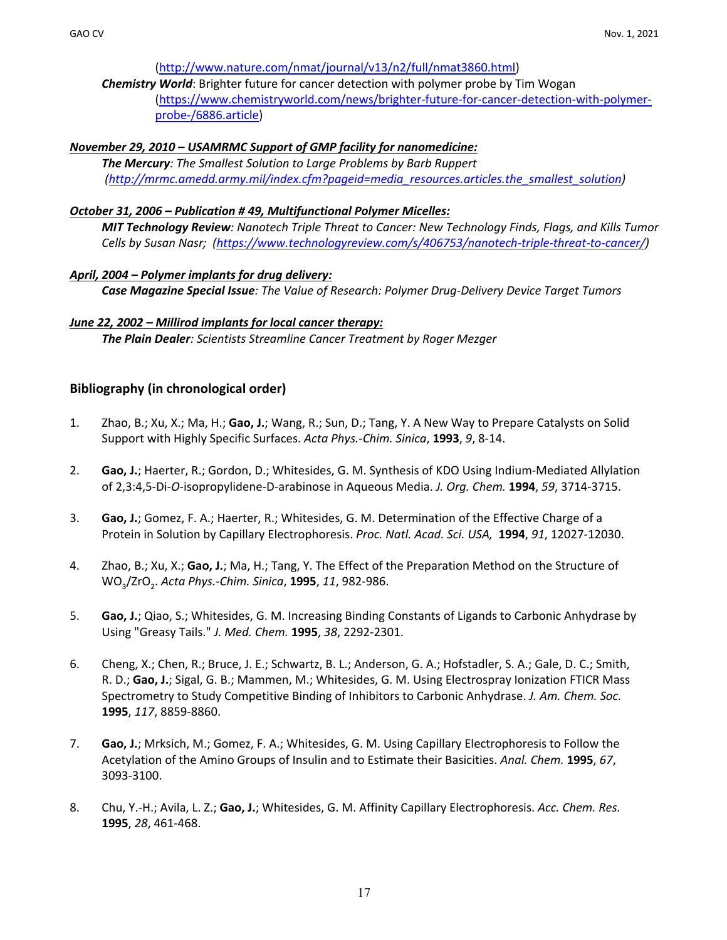#### (http://www.nature.com/nmat/journal/v13/n2/full/nmat3860.html)

*Chemistry World*: Brighter future for cancer detection with polymer probe by Tim Wogan (https://www.chemistryworld.com/news/brighter-future-for-cancer-detection-with-polymerprobe-/6886.article)

#### *November 29, 2010 – USAMRMC Support of GMP facility for nanomedicine:*

*The Mercury: The Smallest Solution to Large Problems by Barb Ruppert (http://mrmc.amedd.army.mil/index.cfm?pageid=media\_resources.articles.the\_smallest\_solution)*

#### *October 31, 2006 – Publication # 49, Multifunctional Polymer Micelles:*

*MIT Technology Review: Nanotech Triple Threat to Cancer: New Technology Finds, Flags, and Kills Tumor Cells by Susan Nasr; (https://www.technologyreview.com/s/406753/nanotech-triple-threat-to-cancer/)*

#### *April, 2004 – Polymer implants for drug delivery:*

*Case Magazine Special Issue: The Value of Research: Polymer Drug-Delivery Device Target Tumors*

#### *June 22, 2002 – Millirod implants for local cancer therapy:*

*The Plain Dealer: Scientists Streamline Cancer Treatment by Roger Mezger*

#### **Bibliography (in chronological order)**

- 1. Zhao, B.; Xu, X.; Ma, H.; **Gao, J.**; Wang, R.; Sun, D.; Tang, Y. A New Way to Prepare Catalysts on Solid Support with Highly Specific Surfaces. *Acta Phys.-Chim. Sinica*, **1993**, *9*, 8-14.
- 2. **Gao, J.**; Haerter, R.; Gordon, D.; Whitesides, G. M. Synthesis of KDO Using Indium-Mediated Allylation of 2,3:4,5-Di-*O*-isopropylidene-D-arabinose in Aqueous Media. *J. Org. Chem.* **1994**, *59*, 3714-3715.
- 3. **Gao, J.**; Gomez, F. A.; Haerter, R.; Whitesides, G. M. Determination of the Effective Charge of a Protein in Solution by Capillary Electrophoresis. *Proc. Natl. Acad. Sci. USA,* **1994**, *91*, 12027-12030.
- 4. Zhao, B.; Xu, X.; **Gao, J.**; Ma, H.; Tang, Y. The Effect of the Preparation Method on the Structure of WO3/ZrO2. *Acta Phys.-Chim. Sinica*, **1995**, *11*, 982-986.
- 5. **Gao, J.**; Qiao, S.; Whitesides, G. M. Increasing Binding Constants of Ligands to Carbonic Anhydrase by Using "Greasy Tails." *J. Med. Chem.* **1995**, *38*, 2292-2301.
- 6. Cheng, X.; Chen, R.; Bruce, J. E.; Schwartz, B. L.; Anderson, G. A.; Hofstadler, S. A.; Gale, D. C.; Smith, R. D.; **Gao, J.**; Sigal, G. B.; Mammen, M.; Whitesides, G. M. Using Electrospray Ionization FTICR Mass Spectrometry to Study Competitive Binding of Inhibitors to Carbonic Anhydrase. *J. Am. Chem. Soc.* **1995**, *117*, 8859-8860.
- 7. **Gao, J.**; Mrksich, M.; Gomez, F. A.; Whitesides, G. M. Using Capillary Electrophoresis to Follow the Acetylation of the Amino Groups of Insulin and to Estimate their Basicities. *Anal. Chem.* **1995**, *67*, 3093-3100.
- 8. Chu, Y.-H.; Avila, L. Z.; **Gao, J.**; Whitesides, G. M. Affinity Capillary Electrophoresis. *Acc. Chem. Res.* **1995**, *28*, 461-468.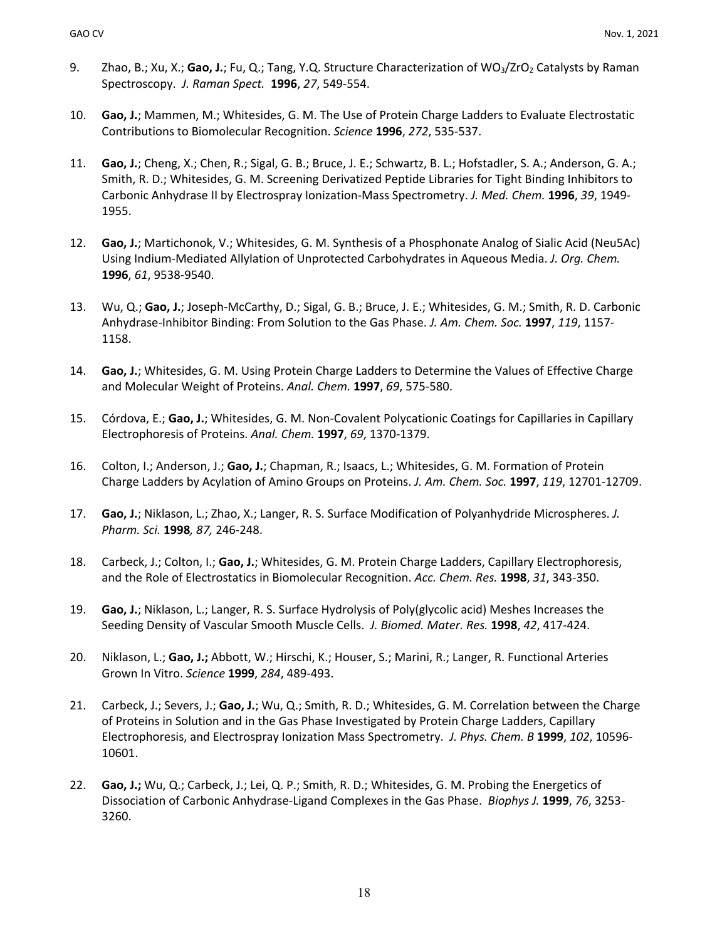- 9. Zhao, B.; Xu, X.; Gao, J.; Fu, Q.; Tang, Y.Q. Structure Characterization of WO<sub>3</sub>/ZrO<sub>2</sub> Catalysts by Raman Spectroscopy. *J. Raman Spect.* **1996**, *27*, 549-554.
- 10. **Gao, J.**; Mammen, M.; Whitesides, G. M. The Use of Protein Charge Ladders to Evaluate Electrostatic Contributions to Biomolecular Recognition. *Science* **1996**, *272*, 535-537.
- 11. **Gao, J.**; Cheng, X.; Chen, R.; Sigal, G. B.; Bruce, J. E.; Schwartz, B. L.; Hofstadler, S. A.; Anderson, G. A.; Smith, R. D.; Whitesides, G. M. Screening Derivatized Peptide Libraries for Tight Binding Inhibitors to Carbonic Anhydrase II by Electrospray Ionization-Mass Spectrometry. *J. Med. Chem.* **1996**, *39*, 1949- 1955.
- 12. **Gao, J.**; Martichonok, V.; Whitesides, G. M. Synthesis of a Phosphonate Analog of Sialic Acid (Neu5Ac) Using Indium-Mediated Allylation of Unprotected Carbohydrates in Aqueous Media. *J. Org. Chem.*  **1996**, *61*, 9538-9540.
- 13. Wu, Q.; **Gao, J.**; Joseph-McCarthy, D.; Sigal, G. B.; Bruce, J. E.; Whitesides, G. M.; Smith, R. D. Carbonic Anhydrase-Inhibitor Binding: From Solution to the Gas Phase. *J. Am. Chem. Soc.* **1997**, *119*, 1157- 1158.
- 14. **Gao, J.**; Whitesides, G. M. Using Protein Charge Ladders to Determine the Values of Effective Charge and Molecular Weight of Proteins. *Anal. Chem.* **1997**, *69*, 575-580.
- 15. Córdova, E.; **Gao, J.**; Whitesides, G. M. Non-Covalent Polycationic Coatings for Capillaries in Capillary Electrophoresis of Proteins. *Anal. Chem.* **1997**, *69*, 1370-1379.
- 16. Colton, I.; Anderson, J.; **Gao, J.**; Chapman, R.; Isaacs, L.; Whitesides, G. M. Formation of Protein Charge Ladders by Acylation of Amino Groups on Proteins. *J. Am. Chem. Soc.* **1997**, *119*, 12701-12709.
- 17. **Gao, J.**; Niklason, L.; Zhao, X.; Langer, R. S. Surface Modification of Polyanhydride Microspheres. *J. Pharm. Sci.* **1998***, 87,* 246-248.
- 18. Carbeck, J.; Colton, I.; **Gao, J.**; Whitesides, G. M. Protein Charge Ladders, Capillary Electrophoresis, and the Role of Electrostatics in Biomolecular Recognition. *Acc. Chem. Res.* **1998**, *31*, 343-350.
- 19. **Gao, J.**; Niklason, L.; Langer, R. S. Surface Hydrolysis of Poly(glycolic acid) Meshes Increases the Seeding Density of Vascular Smooth Muscle Cells. *J. Biomed. Mater. Res.* **1998**, *42*, 417-424.
- 20. Niklason, L.; **Gao, J.;** Abbott, W.; Hirschi, K.; Houser, S.; Marini, R.; Langer, R. Functional Arteries Grown In Vitro. *Science* **1999**, *284*, 489-493.
- 21. Carbeck, J.; Severs, J.; **Gao, J.**; Wu, Q.; Smith, R. D.; Whitesides, G. M. Correlation between the Charge of Proteins in Solution and in the Gas Phase Investigated by Protein Charge Ladders, Capillary Electrophoresis, and Electrospray Ionization Mass Spectrometry. *J. Phys. Chem. B* **1999**, *102*, 10596- 10601.
- 22. **Gao, J.;** Wu, Q.; Carbeck, J.; Lei, Q. P.; Smith, R. D.; Whitesides, G. M. Probing the Energetics of Dissociation of Carbonic Anhydrase-Ligand Complexes in the Gas Phase. *Biophys J.* **1999**, *76*, 3253- 3260.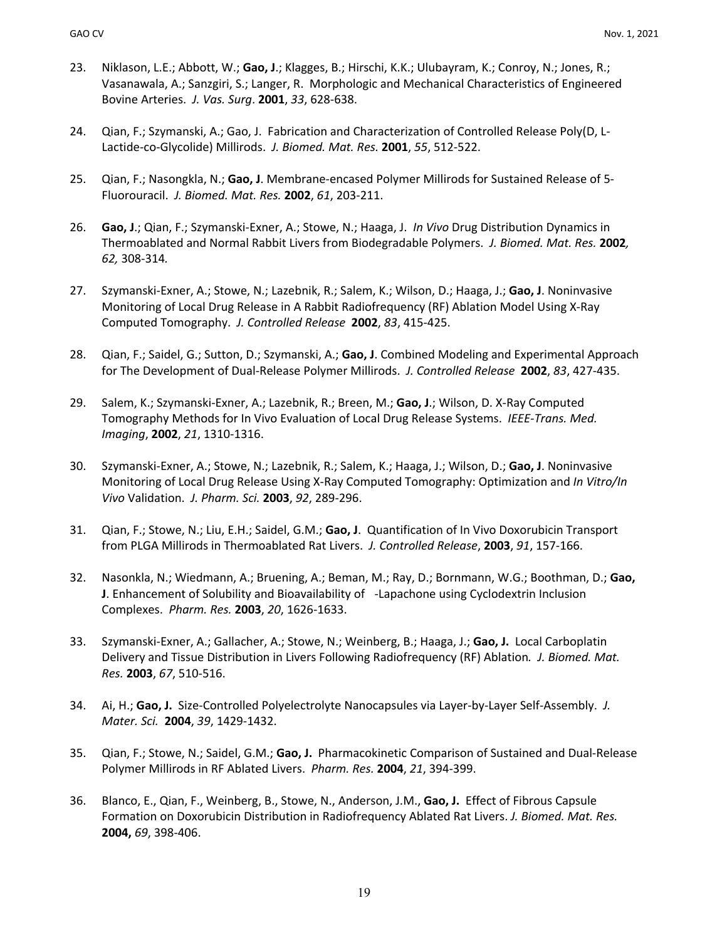- 23. Niklason, L.E.; Abbott, W.; **Gao, J**.; Klagges, B.; Hirschi, K.K.; Ulubayram, K.; Conroy, N.; Jones, R.; Vasanawala, A.; Sanzgiri, S.; Langer, R. Morphologic and Mechanical Characteristics of Engineered Bovine Arteries. *J. Vas. Surg*. **2001**, *33*, 628-638.
- 24. Qian, F.; Szymanski, A.; Gao, J. Fabrication and Characterization of Controlled Release Poly(D, L-Lactide-co-Glycolide) Millirods. *J. Biomed. Mat. Res.* **2001**, *55*, 512-522.
- 25. Qian, F.; Nasongkla, N.; **Gao, J**. Membrane-encased Polymer Millirods for Sustained Release of 5- Fluorouracil. *J. Biomed. Mat. Res.* **2002**, *61*, 203-211.
- 26. **Gao, J**.; Qian, F.; Szymanski-Exner, A.; Stowe, N.; Haaga, J. *In Vivo* Drug Distribution Dynamics in Thermoablated and Normal Rabbit Livers from Biodegradable Polymers. *J. Biomed. Mat. Res.* **2002***, 62,* 308-314*.*
- 27. Szymanski-Exner, A.; Stowe, N.; Lazebnik, R.; Salem, K.; Wilson, D.; Haaga, J.; **Gao, J**. Noninvasive Monitoring of Local Drug Release in A Rabbit Radiofrequency (RF) Ablation Model Using X-Ray Computed Tomography. *J. Controlled Release* **2002**, *83*, 415-425.
- 28. Qian, F.; Saidel, G.; Sutton, D.; Szymanski, A.; **Gao, J**. Combined Modeling and Experimental Approach for The Development of Dual-Release Polymer Millirods. *J. Controlled Release* **2002**, *83*, 427-435.
- 29. Salem, K.; Szymanski-Exner, A.; Lazebnik, R.; Breen, M.; **Gao, J**.; Wilson, D. X-Ray Computed Tomography Methods for In Vivo Evaluation of Local Drug Release Systems. *IEEE-Trans. Med. Imaging*, **2002**, *21*, 1310-1316.
- 30. Szymanski-Exner, A.; Stowe, N.; Lazebnik, R.; Salem, K.; Haaga, J.; Wilson, D.; **Gao, J**. Noninvasive Monitoring of Local Drug Release Using X-Ray Computed Tomography: Optimization and *In Vitro/In Vivo* Validation. *J. Pharm. Sci.* **2003**, *92*, 289-296.
- 31. Qian, F.; Stowe, N.; Liu, E.H.; Saidel, G.M.; **Gao, J**. Quantification of In Vivo Doxorubicin Transport from PLGA Millirods in Thermoablated Rat Livers. *J. Controlled Release*, **2003**, *91*, 157-166.
- 32. Nasonkla, N.; Wiedmann, A.; Bruening, A.; Beman, M.; Ray, D.; Bornmann, W.G.; Boothman, D.; **Gao, J**. Enhancement of Solubility and Bioavailability of -Lapachone using Cyclodextrin Inclusion Complexes. *Pharm. Res.* **2003**, *20*, 1626-1633.
- 33. Szymanski-Exner, A.; Gallacher, A.; Stowe, N.; Weinberg, B.; Haaga, J.; **Gao, J.** Local Carboplatin Delivery and Tissue Distribution in Livers Following Radiofrequency (RF) Ablation*. J. Biomed. Mat. Res.* **2003**, *67*, 510-516.
- 34. Ai, H.; **Gao, J.** Size-Controlled Polyelectrolyte Nanocapsules via Layer-by-Layer Self-Assembly. *J. Mater. Sci.* **2004**, *39*, 1429-1432.
- 35. Qian, F.; Stowe, N.; Saidel, G.M.; **Gao, J.** Pharmacokinetic Comparison of Sustained and Dual-Release Polymer Millirods in RF Ablated Livers. *Pharm. Res.* **2004**, *21*, 394-399.
- 36. Blanco, E., Qian, F., Weinberg, B., Stowe, N., Anderson, J.M., **Gao, J.** Effect of Fibrous Capsule Formation on Doxorubicin Distribution in Radiofrequency Ablated Rat Livers. *J. Biomed. Mat. Res.*  **2004,** *69*, 398-406.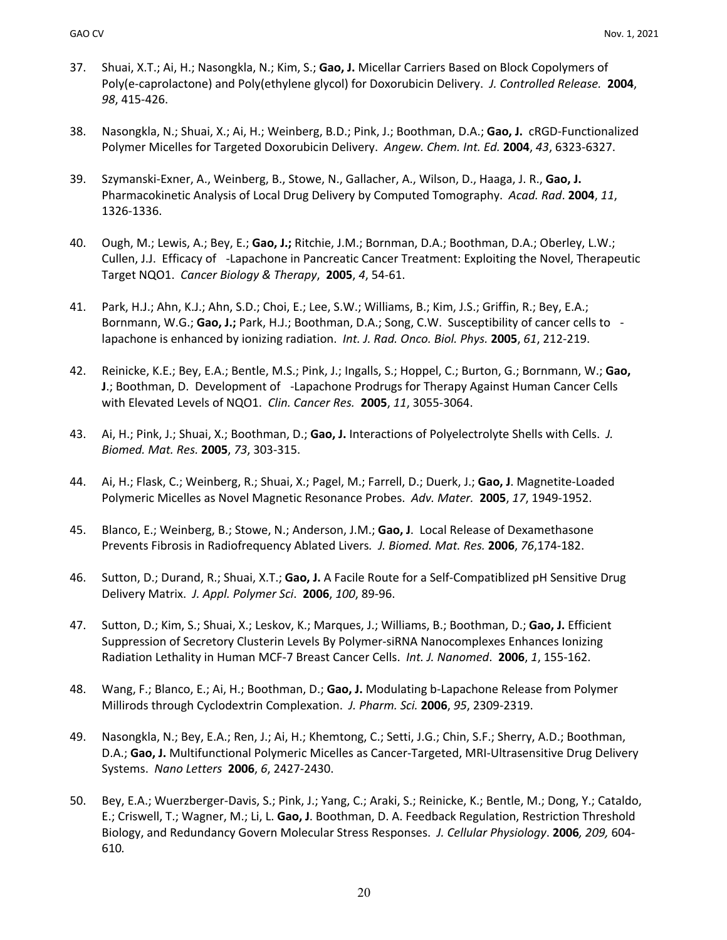- 37. Shuai, X.T.; Ai, H.; Nasongkla, N.; Kim, S.; **Gao, J.** Micellar Carriers Based on Block Copolymers of Poly(e-caprolactone) and Poly(ethylene glycol) for Doxorubicin Delivery. *J. Controlled Release.* **2004**, *98*, 415-426.
- 38. Nasongkla, N.; Shuai, X.; Ai, H.; Weinberg, B.D.; Pink, J.; Boothman, D.A.; **Gao, J.** cRGD-Functionalized Polymer Micelles for Targeted Doxorubicin Delivery. *Angew. Chem. Int. Ed.* **2004**, *43*, 6323-6327.
- 39. Szymanski-Exner, A., Weinberg, B., Stowe, N., Gallacher, A., Wilson, D., Haaga, J. R., **Gao, J.** Pharmacokinetic Analysis of Local Drug Delivery by Computed Tomography. *Acad. Rad*. **2004**, *11*, 1326-1336.
- 40. Ough, M.; Lewis, A.; Bey, E.; **Gao, J.;** Ritchie, J.M.; Bornman, D.A.; Boothman, D.A.; Oberley, L.W.; Cullen, J.J. Efficacy of -Lapachone in Pancreatic Cancer Treatment: Exploiting the Novel, Therapeutic Target NQO1. *Cancer Biology & Therapy*, **2005**, *4*, 54-61.
- 41. Park, H.J.; Ahn, K.J.; Ahn, S.D.; Choi, E.; Lee, S.W.; Williams, B.; Kim, J.S.; Griffin, R.; Bey, E.A.; Bornmann, W.G.; **Gao, J.;** Park, H.J.; Boothman, D.A.; Song, C.W. Susceptibility of cancer cells to lapachone is enhanced by ionizing radiation. *Int. J. Rad. Onco. Biol. Phys.* **2005**, *61*, 212-219.
- 42. Reinicke, K.E.; Bey, E.A.; Bentle, M.S.; Pink, J.; Ingalls, S.; Hoppel, C.; Burton, G.; Bornmann, W.; **Gao, J**.; Boothman, D. Development of -Lapachone Prodrugs for Therapy Against Human Cancer Cells with Elevated Levels of NQO1. *Clin. Cancer Res.* **2005**, *11*, 3055-3064.
- 43. Ai, H.; Pink, J.; Shuai, X.; Boothman, D.; **Gao, J.** Interactions of Polyelectrolyte Shells with Cells. *J. Biomed. Mat. Res.* **2005**, *73*, 303-315.
- 44. Ai, H.; Flask, C.; Weinberg, R.; Shuai, X.; Pagel, M.; Farrell, D.; Duerk, J.; **Gao, J**. Magnetite-Loaded Polymeric Micelles as Novel Magnetic Resonance Probes. *Adv. Mater.* **2005**, *17*, 1949-1952.
- 45. Blanco, E.; Weinberg, B.; Stowe, N.; Anderson, J.M.; **Gao, J**. Local Release of Dexamethasone Prevents Fibrosis in Radiofrequency Ablated Livers*. J. Biomed. Mat. Res.* **2006**, *76*,174-182.
- 46. Sutton, D.; Durand, R.; Shuai, X.T.; **Gao, J.** A Facile Route for a Self-Compatiblized pH Sensitive Drug Delivery Matrix. *J. Appl. Polymer Sci*. **2006**, *100*, 89-96.
- 47. Sutton, D.; Kim, S.; Shuai, X.; Leskov, K.; Marques, J.; Williams, B.; Boothman, D.; **Gao, J.** Efficient Suppression of Secretory Clusterin Levels By Polymer-siRNA Nanocomplexes Enhances Ionizing Radiation Lethality in Human MCF-7 Breast Cancer Cells. *Int. J. Nanomed*. **2006**, *1*, 155-162.
- 48. Wang, F.; Blanco, E.; Ai, H.; Boothman, D.; **Gao, J.** Modulating b-Lapachone Release from Polymer Millirods through Cyclodextrin Complexation. *J. Pharm. Sci.* **2006**, *95*, 2309-2319.
- 49. Nasongkla, N.; Bey, E.A.; Ren, J.; Ai, H.; Khemtong, C.; Setti, J.G.; Chin, S.F.; Sherry, A.D.; Boothman, D.A.; **Gao, J.** Multifunctional Polymeric Micelles as Cancer-Targeted, MRI-Ultrasensitive Drug Delivery Systems. *Nano Letters* **2006**, *6*, 2427-2430.
- 50. Bey, E.A.; Wuerzberger-Davis, S.; Pink, J.; Yang, C.; Araki, S.; Reinicke, K.; Bentle, M.; Dong, Y.; Cataldo, E.; Criswell, T.; Wagner, M.; Li, L. **Gao, J**. Boothman, D. A. Feedback Regulation, Restriction Threshold Biology, and Redundancy Govern Molecular Stress Responses. *J. Cellular Physiology*. **2006***, 209,* 604- 610*.*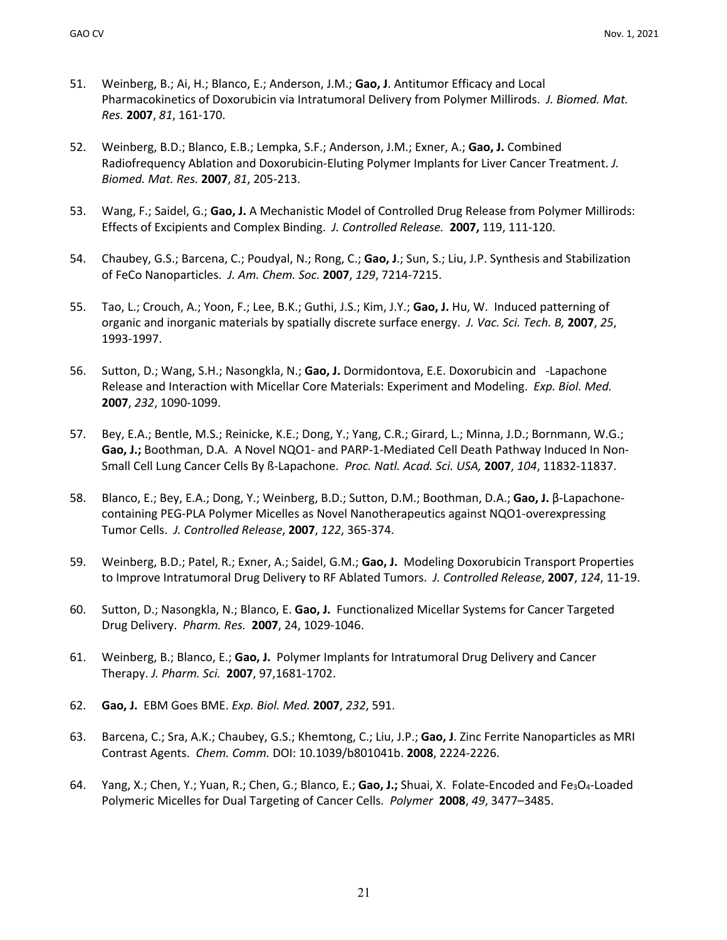- 51. Weinberg, B.; Ai, H.; Blanco, E.; Anderson, J.M.; **Gao, J**. Antitumor Efficacy and Local Pharmacokinetics of Doxorubicin via Intratumoral Delivery from Polymer Millirods. *J. Biomed. Mat. Res.* **2007**, *81*, 161-170.
- 52. Weinberg, B.D.; Blanco, E.B.; Lempka, S.F.; Anderson, J.M.; Exner, A.; **Gao, J.** Combined Radiofrequency Ablation and Doxorubicin-Eluting Polymer Implants for Liver Cancer Treatment. *J. Biomed. Mat. Res.* **2007**, *81*, 205-213.
- 53. Wang, F.; Saidel, G.; **Gao, J.** A Mechanistic Model of Controlled Drug Release from Polymer Millirods: Effects of Excipients and Complex Binding. *J. Controlled Release.* **2007,** 119, 111-120.
- 54. Chaubey, G.S.; Barcena, C.; Poudyal, N.; Rong, C.; **Gao, J**.; Sun, S.; Liu, J.P. Synthesis and Stabilization of FeCo Nanoparticles. *J. Am. Chem. Soc.* **2007**, *129*, 7214-7215.
- 55. Tao, L.; Crouch, A.; Yoon, F.; Lee, B.K.; Guthi, J.S.; Kim, J.Y.; **Gao, J.** Hu, W. Induced patterning of organic and inorganic materials by spatially discrete surface energy. *J. Vac. Sci. Tech. B,* **2007**, *25*, 1993-1997.
- 56. Sutton, D.; Wang, S.H.; Nasongkla, N.; **Gao, J.** Dormidontova, E.E. Doxorubicin and -Lapachone Release and Interaction with Micellar Core Materials: Experiment and Modeling. *Exp. Biol. Med.* **2007**, *232*, 1090-1099.
- 57. Bey, E.A.; Bentle, M.S.; Reinicke, K.E.; Dong, Y.; Yang, C.R.; Girard, L.; Minna, J.D.; Bornmann, W.G.; **Gao, J.;** Boothman, D.A. A Novel NQO1- and PARP-1-Mediated Cell Death Pathway Induced In Non-Small Cell Lung Cancer Cells By ß-Lapachone. *Proc. Natl. Acad. Sci. USA,* **2007**, *104*, 11832-11837.
- 58. Blanco, E.; Bey, E.A.; Dong, Y.; Weinberg, B.D.; Sutton, D.M.; Boothman, D.A.; **Gao, J.** β-Lapachonecontaining PEG-PLA Polymer Micelles as Novel Nanotherapeutics against NQO1-overexpressing Tumor Cells. *J. Controlled Release*, **2007**, *122*, 365-374.
- 59. Weinberg, B.D.; Patel, R.; Exner, A.; Saidel, G.M.; **Gao, J.** Modeling Doxorubicin Transport Properties to Improve Intratumoral Drug Delivery to RF Ablated Tumors. *J. Controlled Release*, **2007**, *124*, 11-19.
- 60. Sutton, D.; Nasongkla, N.; Blanco, E. **Gao, J.** Functionalized Micellar Systems for Cancer Targeted Drug Delivery. *Pharm. Res.* **2007**, 24, 1029-1046.
- 61. Weinberg, B.; Blanco, E.; **Gao, J.** Polymer Implants for Intratumoral Drug Delivery and Cancer Therapy. *J. Pharm. Sci.* **2007**, 97,1681-1702.
- 62. **Gao, J.** EBM Goes BME. *Exp. Biol. Med.* **2007**, *232*, 591.
- 63. Barcena, C.; Sra, A.K.; Chaubey, G.S.; Khemtong, C.; Liu, J.P.; **Gao, J**. Zinc Ferrite Nanoparticles as MRI Contrast Agents. *Chem. Comm.* DOI: 10.1039/b801041b. **2008**, 2224-2226.
- 64. Yang, X.; Chen, Y.; Yuan, R.; Chen, G.; Blanco, E.; Gao, J.; Shuai, X. Folate-Encoded and Fe<sub>3</sub>O<sub>4</sub>-Loaded Polymeric Micelles for Dual Targeting of Cancer Cells. *Polymer* **2008**, *49*, 3477–3485.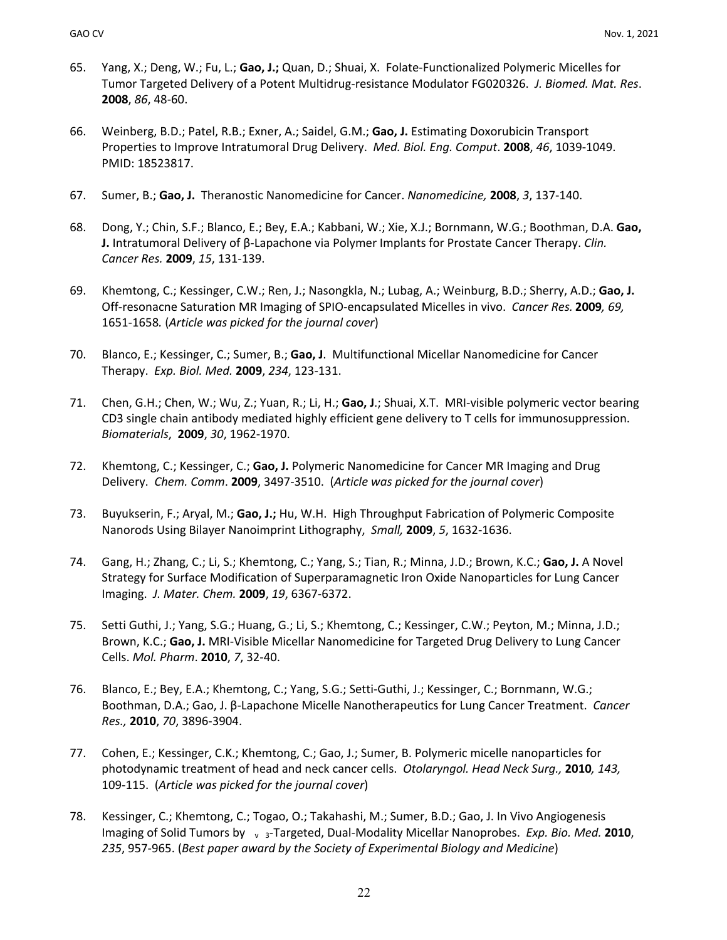- 65. Yang, X.; Deng, W.; Fu, L.; **Gao, J.;** Quan, D.; Shuai, X. Folate-Functionalized Polymeric Micelles for Tumor Targeted Delivery of a Potent Multidrug-resistance Modulator FG020326. *J. Biomed. Mat. Res*. **2008**, *86*, 48-60.
- 66. Weinberg, B.D.; Patel, R.B.; Exner, A.; Saidel, G.M.; **Gao, J.** Estimating Doxorubicin Transport Properties to Improve Intratumoral Drug Delivery. *Med. Biol. Eng. Comput*. **2008**, *46*, 1039-1049. PMID: 18523817.
- 67. Sumer, B.; **Gao, J.** Theranostic Nanomedicine for Cancer. *Nanomedicine,* **2008**, *3*, 137-140.
- 68. Dong, Y.; Chin, S.F.; Blanco, E.; Bey, E.A.; Kabbani, W.; Xie, X.J.; Bornmann, W.G.; Boothman, D.A. **Gao, J.** Intratumoral Delivery of β-Lapachone via Polymer Implants for Prostate Cancer Therapy. *Clin. Cancer Res.* **2009**, *15*, 131-139.
- 69. Khemtong, C.; Kessinger, C.W.; Ren, J.; Nasongkla, N.; Lubag, A.; Weinburg, B.D.; Sherry, A.D.; **Gao, J.** Off-resonacne Saturation MR Imaging of SPIO-encapsulated Micelles in vivo. *Cancer Res.* **2009***, 69,*  1651-1658*.* (*Article was picked for the journal cover*)
- 70. Blanco, E.; Kessinger, C.; Sumer, B.; **Gao, J**. Multifunctional Micellar Nanomedicine for Cancer Therapy. *Exp. Biol. Med.* **2009**, *234*, 123-131.
- 71. Chen, G.H.; Chen, W.; Wu, Z.; Yuan, R.; Li, H.; **Gao, J**.; Shuai, X.T. MRI-visible polymeric vector bearing CD3 single chain antibody mediated highly efficient gene delivery to T cells for immunosuppression. *Biomaterials*, **2009**, *30*, 1962-1970.
- 72. Khemtong, C.; Kessinger, C.; **Gao, J.** Polymeric Nanomedicine for Cancer MR Imaging and Drug Delivery. *Chem. Comm*. **2009**, 3497-3510.(*Article was picked for the journal cover*)
- 73. Buyukserin, F.; Aryal, M.; **Gao, J.;** Hu, W.H. High Throughput Fabrication of Polymeric Composite Nanorods Using Bilayer Nanoimprint Lithography, *Small,* **2009**, *5*, 1632-1636.
- 74. Gang, H.; Zhang, C.; Li, S.; Khemtong, C.; Yang, S.; Tian, R.; Minna, J.D.; Brown, K.C.; **Gao, J.** A Novel Strategy for Surface Modification of Superparamagnetic Iron Oxide Nanoparticles for Lung Cancer Imaging. *J. Mater. Chem.* **2009**, *19*, 6367-6372.
- 75. Setti Guthi, J.; Yang, S.G.; Huang, G.; Li, S.; Khemtong, C.; Kessinger, C.W.; Peyton, M.; Minna, J.D.; Brown, K.C.; **Gao, J.** MRI-Visible Micellar Nanomedicine for Targeted Drug Delivery to Lung Cancer Cells. *Mol. Pharm*. **2010**, *7*, 32-40.
- 76. Blanco, E.; Bey, E.A.; Khemtong, C.; Yang, S.G.; Setti-Guthi, J.; Kessinger, C.; Bornmann, W.G.; Boothman, D.A.; Gao, J. β-Lapachone Micelle Nanotherapeutics for Lung Cancer Treatment. *Cancer Res.,* **2010**, *70*, 3896-3904.
- 77. Cohen, E.; Kessinger, C.K.; Khemtong, C.; Gao, J.; Sumer, B. Polymeric micelle nanoparticles for photodynamic treatment of head and neck cancer cells. *Otolaryngol. Head Neck Surg.,* **2010***, 143,*  109-115. (*Article was picked for the journal cover*)
- 78. Kessinger, C.; Khemtong, C.; Togao, O.; Takahashi, M.; Sumer, B.D.; Gao, J. In Vivo Angiogenesis Imaging of Solid Tumors by v<sub>3</sub>-Targeted, Dual-Modality Micellar Nanoprobes. *Exp. Bio. Med.* **2010**, *235*, 957-965. (*Best paper award by the Society of Experimental Biology and Medicine*)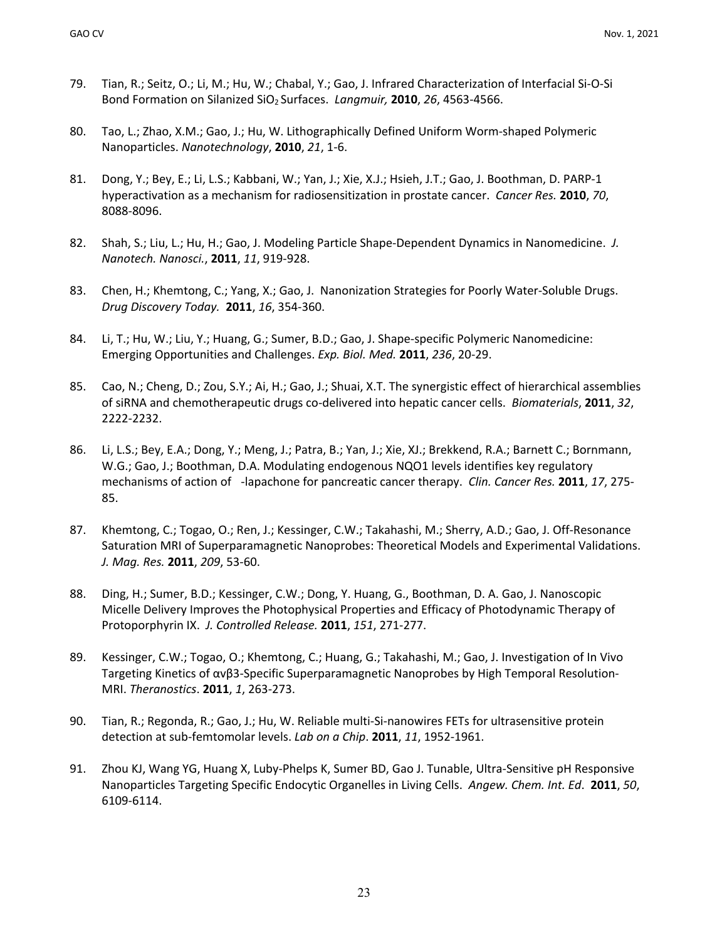- 79. Tian, R.; Seitz, O.; Li, M.; Hu, W.; Chabal, Y.; Gao, J. Infrared Characterization of Interfacial Si-O-Si Bond Formation on Silanized SiO2 Surfaces. *Langmuir,* **2010**, *26*, 4563-4566.
- 80. Tao, L.; Zhao, X.M.; Gao, J.; Hu, W. Lithographically Defined Uniform Worm-shaped Polymeric Nanoparticles. *Nanotechnology*, **2010**, *21*, 1-6.
- 81. Dong, Y.; Bey, E.; Li, L.S.; Kabbani, W.; Yan, J.; Xie, X.J.; Hsieh, J.T.; Gao, J. Boothman, D. PARP-1 hyperactivation as a mechanism for radiosensitization in prostate cancer. *Cancer Res.* **2010**, *70*, 8088-8096.
- 82. Shah, S.; Liu, L.; Hu, H.; Gao, J. Modeling Particle Shape-Dependent Dynamics in Nanomedicine. *J. Nanotech. Nanosci.*, **2011**, *11*, 919-928.
- 83. Chen, H.; Khemtong, C.; Yang, X.; Gao, J. Nanonization Strategies for Poorly Water-Soluble Drugs. *Drug Discovery Today.* **2011**, *16*, 354-360.
- 84. Li, T.; Hu, W.; Liu, Y.; Huang, G.; Sumer, B.D.; Gao, J. Shape-specific Polymeric Nanomedicine: Emerging Opportunities and Challenges. *Exp. Biol. Med.* **2011**, *236*, 20-29.
- 85. Cao, N.; Cheng, D.; Zou, S.Y.; Ai, H.; Gao, J.; Shuai, X.T. The synergistic effect of hierarchical assemblies of siRNA and chemotherapeutic drugs co-delivered into hepatic cancer cells. *Biomaterials*, **2011**, *32*, 2222-2232.
- 86. Li, L.S.; Bey, E.A.; Dong, Y.; Meng, J.; Patra, B.; Yan, J.; Xie, XJ.; Brekkend, R.A.; Barnett C.; Bornmann, W.G.; Gao, J.; Boothman, D.A. Modulating endogenous NQO1 levels identifies key regulatory mechanisms of action of -lapachone for pancreatic cancer therapy. *Clin. Cancer Res.* **2011**, *17*, 275- 85.
- 87. Khemtong, C.; Togao, O.; Ren, J.; Kessinger, C.W.; Takahashi, M.; Sherry, A.D.; Gao, J. Off-Resonance Saturation MRI of Superparamagnetic Nanoprobes: Theoretical Models and Experimental Validations. *J. Mag. Res.* **2011**, *209*, 53-60.
- 88. Ding, H.; Sumer, B.D.; Kessinger, C.W.; Dong, Y. Huang, G., Boothman, D. A. Gao, J. Nanoscopic Micelle Delivery Improves the Photophysical Properties and Efficacy of Photodynamic Therapy of Protoporphyrin IX. *J. Controlled Release.* **2011**, *151*, 271-277.
- 89. Kessinger, C.W.; Togao, O.; Khemtong, C.; Huang, G.; Takahashi, M.; Gao, J. Investigation of In Vivo Targeting Kinetics of αvβ3-Specific Superparamagnetic Nanoprobes by High Temporal Resolution-MRI. *Theranostics*. **2011**, *1*, 263-273.
- 90. Tian, R.; Regonda, R.; Gao, J.; Hu, W. Reliable multi-Si-nanowires FETs for ultrasensitive protein detection at sub-femtomolar levels. *Lab on a Chip*. **2011**, *11*, 1952-1961.
- 91. Zhou KJ, Wang YG, Huang X, Luby-Phelps K, Sumer BD, Gao J. Tunable, Ultra-Sensitive pH Responsive Nanoparticles Targeting Specific Endocytic Organelles in Living Cells. *Angew. Chem. Int. Ed*. **2011**, *50*, 6109-6114.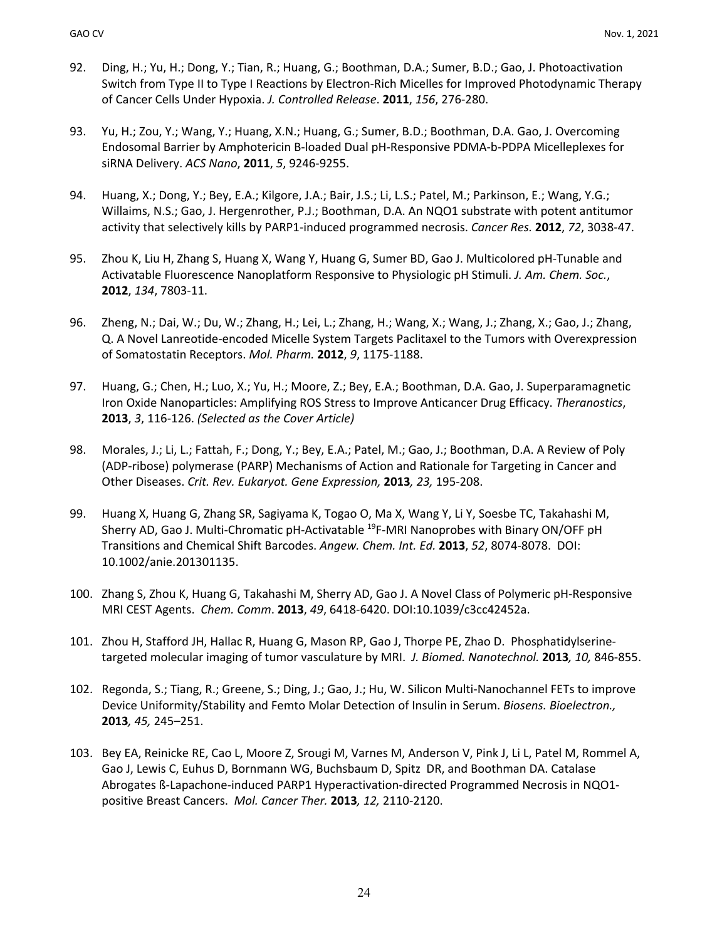- 92. Ding, H.; Yu, H.; Dong, Y.; Tian, R.; Huang, G.; Boothman, D.A.; Sumer, B.D.; Gao, J. Photoactivation Switch from Type II to Type I Reactions by Electron-Rich Micelles for Improved Photodynamic Therapy of Cancer Cells Under Hypoxia. *J. Controlled Release*. **2011**, *156*, 276-280.
- 93. Yu, H.; Zou, Y.; Wang, Y.; Huang, X.N.; Huang, G.; Sumer, B.D.; Boothman, D.A. Gao, J. Overcoming Endosomal Barrier by Amphotericin B-loaded Dual pH-Responsive PDMA-b-PDPA Micelleplexes for siRNA Delivery. *ACS Nano*, **2011**, *5*, 9246-9255.
- 94. Huang, X.; Dong, Y.; Bey, E.A.; Kilgore, J.A.; Bair, J.S.; Li, L.S.; Patel, M.; Parkinson, E.; Wang, Y.G.; Willaims, N.S.; Gao, J. Hergenrother, P.J.; Boothman, D.A. An NQO1 substrate with potent antitumor activity that selectively kills by PARP1-induced programmed necrosis. *Cancer Res.* **2012**, *72*, 3038-47.
- 95. Zhou K, Liu H, Zhang S, Huang X, Wang Y, Huang G, Sumer BD, Gao J. Multicolored pH-Tunable and Activatable Fluorescence Nanoplatform Responsive to Physiologic pH Stimuli. *J. Am. Chem. Soc.*, **2012**, *134*, 7803-11.
- 96. Zheng, N.; Dai, W.; Du, W.; Zhang, H.; Lei, L.; Zhang, H.; Wang, X.; Wang, J.; Zhang, X.; Gao, J.; Zhang, Q. A Novel Lanreotide-encoded Micelle System Targets Paclitaxel to the Tumors with Overexpression of Somatostatin Receptors. *Mol. Pharm.* **2012**, *9*, 1175-1188.
- 97. Huang, G.; Chen, H.; Luo, X.; Yu, H.; Moore, Z.; Bey, E.A.; Boothman, D.A. Gao, J. Superparamagnetic Iron Oxide Nanoparticles: Amplifying ROS Stress to Improve Anticancer Drug Efficacy. *Theranostics*, **2013**, *3*, 116-126. *(Selected as the Cover Article)*
- 98. Morales, J.; Li, L.; Fattah, F.; Dong, Y.; Bey, E.A.; Patel, M.; Gao, J.; Boothman, D.A. A Review of Poly (ADP-ribose) polymerase (PARP) Mechanisms of Action and Rationale for Targeting in Cancer and Other Diseases. *Crit. Rev. Eukaryot. Gene Expression,* **2013***, 23,* 195-208.
- 99. Huang X, Huang G, Zhang SR, Sagiyama K, Togao O, Ma X, Wang Y, Li Y, Soesbe TC, Takahashi M, Sherry AD, Gao J. Multi-Chromatic pH-Activatable <sup>19</sup>F-MRI Nanoprobes with Binary ON/OFF pH Transitions and Chemical Shift Barcodes. *Angew. Chem. Int. Ed.* **2013**, *52*, 8074-8078. DOI: 10.1002/anie.201301135.
- 100. Zhang S, Zhou K, Huang G, Takahashi M, Sherry AD, Gao J. A Novel Class of Polymeric pH-Responsive MRI CEST Agents. *Chem. Comm*. **2013**, *49*, 6418-6420. DOI:10.1039/c3cc42452a.
- 101. Zhou H, Stafford JH, Hallac R, Huang G, Mason RP, Gao J, Thorpe PE, Zhao D. Phosphatidylserinetargeted molecular imaging of tumor vasculature by MRI. *J. Biomed. Nanotechnol.* **2013***, 10,* 846-855.
- 102. Regonda, S.; Tiang, R.; Greene, S.; Ding, J.; Gao, J.; Hu, W. Silicon Multi-Nanochannel FETs to improve Device Uniformity/Stability and Femto Molar Detection of Insulin in Serum. *Biosens. Bioelectron.,*  **2013***, 45,* 245–251.
- 103. Bey EA, Reinicke RE, Cao L, Moore Z, Srougi M, Varnes M, Anderson V, Pink J, Li L, Patel M, Rommel A, Gao J, Lewis C, Euhus D, Bornmann WG, Buchsbaum D, Spitz DR, and Boothman DA. Catalase Abrogates ß-Lapachone-induced PARP1 Hyperactivation-directed Programmed Necrosis in NQO1 positive Breast Cancers. *Mol. Cancer Ther.* **2013***, 12,* 2110-2120.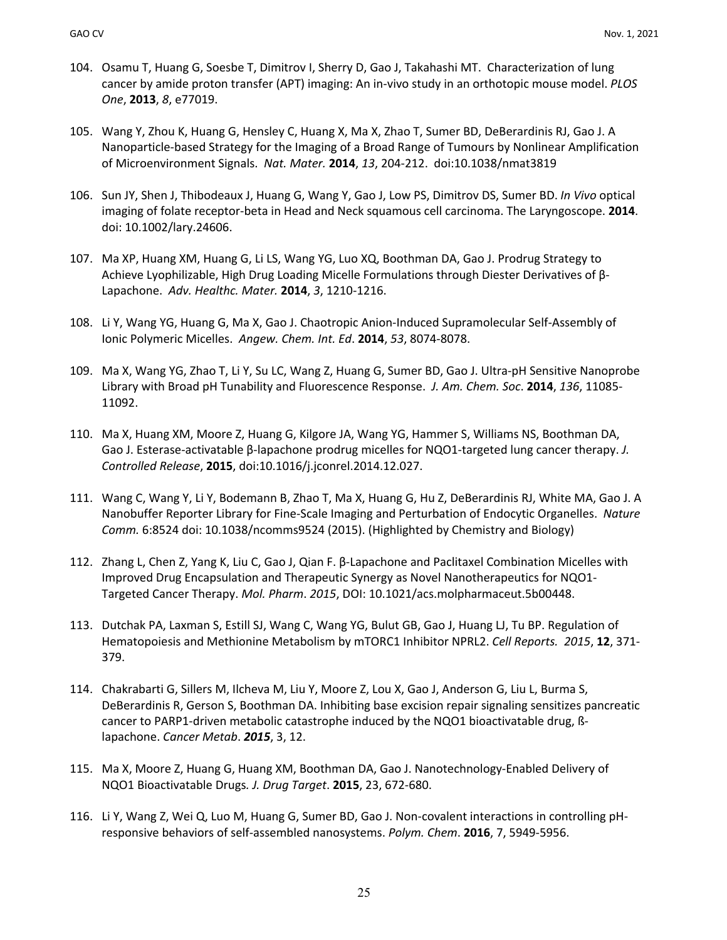- 104. Osamu T, Huang G, Soesbe T, Dimitrov I, Sherry D, Gao J, Takahashi MT. Characterization of lung cancer by amide proton transfer (APT) imaging: An in-vivo study in an orthotopic mouse model. *PLOS One*, **2013**, *8*, e77019.
- 105. Wang Y, Zhou K, Huang G, Hensley C, Huang X, Ma X, Zhao T, Sumer BD, DeBerardinis RJ, Gao J. A Nanoparticle-based Strategy for the Imaging of a Broad Range of Tumours by Nonlinear Amplification of Microenvironment Signals. *Nat. Mater.* **2014**, *13*, 204-212. doi:10.1038/nmat3819
- 106. Sun JY, Shen J, Thibodeaux J, Huang G, Wang Y, Gao J, Low PS, Dimitrov DS, Sumer BD. *In Vivo* optical imaging of folate receptor-beta in Head and Neck squamous cell carcinoma. The Laryngoscope. **2014**. doi: 10.1002/lary.24606.
- 107. Ma XP, Huang XM, Huang G, Li LS, Wang YG, Luo XQ, Boothman DA, Gao J. Prodrug Strategy to Achieve Lyophilizable, High Drug Loading Micelle Formulations through Diester Derivatives of β-Lapachone. *Adv. Healthc. Mater.* **2014**, *3*, 1210-1216.
- 108. Li Y, Wang YG, Huang G, Ma X, Gao J. Chaotropic Anion-Induced Supramolecular Self-Assembly of Ionic Polymeric Micelles. *Angew. Chem. Int. Ed*. **2014**, *53*, 8074-8078.
- 109. Ma X, Wang YG, Zhao T, Li Y, Su LC, Wang Z, Huang G, Sumer BD, Gao J. Ultra-pH Sensitive Nanoprobe Library with Broad pH Tunability and Fluorescence Response. *J. Am. Chem. Soc*. **2014**, *136*, 11085- 11092.
- 110. Ma X, Huang XM, Moore Z, Huang G, Kilgore JA, Wang YG, Hammer S, Williams NS, Boothman DA, Gao J. Esterase-activatable β-lapachone prodrug micelles for NQO1-targeted lung cancer therapy. *J. Controlled Release*, **2015**, doi:10.1016/j.jconrel.2014.12.027.
- 111. Wang C, Wang Y, Li Y, Bodemann B, Zhao T, Ma X, Huang G, Hu Z, DeBerardinis RJ, White MA, Gao J. A Nanobuffer Reporter Library for Fine-Scale Imaging and Perturbation of Endocytic Organelles. *Nature Comm.* 6:8524 doi: 10.1038/ncomms9524 (2015). (Highlighted by Chemistry and Biology)
- 112. Zhang L, Chen Z, Yang K, Liu C, Gao J, Qian F. β-Lapachone and Paclitaxel Combination Micelles with Improved Drug Encapsulation and Therapeutic Synergy as Novel Nanotherapeutics for NQO1- Targeted Cancer Therapy. *Mol. Pharm*. *2015*, DOI: 10.1021/acs.molpharmaceut.5b00448.
- 113. Dutchak PA, Laxman S, Estill SJ, Wang C, Wang YG, Bulut GB, Gao J, Huang LJ, Tu BP. Regulation of Hematopoiesis and Methionine Metabolism by mTORC1 Inhibitor NPRL2. *Cell Reports. 2015*, **12**, 371- 379.
- 114. Chakrabarti G, Sillers M, Ilcheva M, Liu Y, Moore Z, Lou X, Gao J, Anderson G, Liu L, Burma S, DeBerardinis R, Gerson S, Boothman DA. Inhibiting base excision repair signaling sensitizes pancreatic cancer to PARP1-driven metabolic catastrophe induced by the NQO1 bioactivatable drug, ßlapachone. *Cancer Metab*. *2015*, 3, 12.
- 115. Ma X, Moore Z, Huang G, Huang XM, Boothman DA, Gao J. Nanotechnology-Enabled Delivery of NQO1 Bioactivatable Drugs*. J. Drug Target*. **2015**, 23, 672-680.
- 116. Li Y, Wang Z, Wei Q, Luo M, Huang G, Sumer BD, Gao J. Non-covalent interactions in controlling pHresponsive behaviors of self-assembled nanosystems. *Polym. Chem*. **2016**, 7, 5949-5956.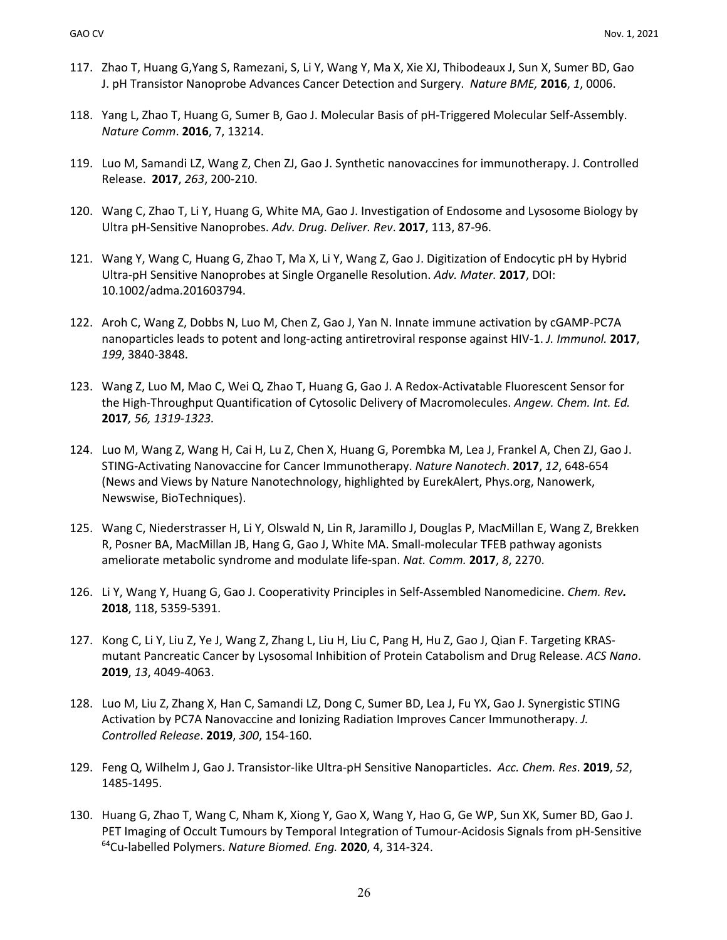- 117. Zhao T, Huang G,Yang S, Ramezani, S, Li Y, Wang Y, Ma X, Xie XJ, Thibodeaux J, Sun X, Sumer BD, Gao J. pH Transistor Nanoprobe Advances Cancer Detection and Surgery. *Nature BME,* **2016**, *1*, 0006.
- 118. Yang L, Zhao T, Huang G, Sumer B, Gao J. Molecular Basis of pH-Triggered Molecular Self-Assembly. *Nature Comm*. **2016**, 7, 13214.
- 119. Luo M, Samandi LZ, Wang Z, Chen ZJ, Gao J. Synthetic nanovaccines for immunotherapy. J. Controlled Release. **2017**, *263*, 200-210.
- 120. Wang C, Zhao T, Li Y, Huang G, White MA, Gao J. Investigation of Endosome and Lysosome Biology by Ultra pH-Sensitive Nanoprobes. *Adv. Drug. Deliver. Rev*. **2017**, 113, 87-96.
- 121. Wang Y, Wang C, Huang G, Zhao T, Ma X, Li Y, Wang Z, Gao J. Digitization of Endocytic pH by Hybrid Ultra-pH Sensitive Nanoprobes at Single Organelle Resolution. *Adv. Mater.* **2017**, DOI: 10.1002/adma.201603794.
- 122. Aroh C, Wang Z, Dobbs N, Luo M, Chen Z, Gao J, Yan N. Innate immune activation by cGAMP-PC7A nanoparticles leads to potent and long-acting antiretroviral response against HIV-1. *J. Immunol.* **2017**, *199*, 3840-3848.
- 123. Wang Z, Luo M, Mao C, Wei Q, Zhao T, Huang G, Gao J. A Redox-Activatable Fluorescent Sensor for the High-Throughput Quantification of Cytosolic Delivery of Macromolecules. *Angew. Chem. Int. Ed.* **2017***, 56, 1319-1323.*
- 124. Luo M, Wang Z, Wang H, Cai H, Lu Z, Chen X, Huang G, Porembka M, Lea J, Frankel A, Chen ZJ, Gao J. STING-Activating Nanovaccine for Cancer Immunotherapy. *Nature Nanotech*. **2017**, *12*, 648-654 (News and Views by Nature Nanotechnology, highlighted by EurekAlert, Phys.org, Nanowerk, Newswise, BioTechniques).
- 125. Wang C, Niederstrasser H, Li Y, Olswald N, Lin R, Jaramillo J, Douglas P, MacMillan E, Wang Z, Brekken R, Posner BA, MacMillan JB, Hang G, Gao J, White MA. Small-molecular TFEB pathway agonists ameliorate metabolic syndrome and modulate life-span. *Nat. Comm.* **2017**, *8*, 2270.
- 126. Li Y, Wang Y, Huang G, Gao J. Cooperativity Principles in Self-Assembled Nanomedicine. *Chem. Rev.* **2018**, 118, 5359-5391.
- 127. Kong C, Li Y, Liu Z, Ye J, Wang Z, Zhang L, Liu H, Liu C, Pang H, Hu Z, Gao J, Qian F. Targeting KRASmutant Pancreatic Cancer by Lysosomal Inhibition of Protein Catabolism and Drug Release. *ACS Nano*. **2019**, *13*, 4049-4063.
- 128. Luo M, Liu Z, Zhang X, Han C, Samandi LZ, Dong C, Sumer BD, Lea J, Fu YX, Gao J. Synergistic STING Activation by PC7A Nanovaccine and Ionizing Radiation Improves Cancer Immunotherapy. *J. Controlled Release*. **2019**, *300*, 154-160.
- 129. Feng Q, Wilhelm J, Gao J. Transistor-like Ultra-pH Sensitive Nanoparticles. *Acc. Chem. Res*. **2019**, *52*, 1485-1495.
- 130. Huang G, Zhao T, Wang C, Nham K, Xiong Y, Gao X, Wang Y, Hao G, Ge WP, Sun XK, Sumer BD, Gao J. PET Imaging of Occult Tumours by Temporal Integration of Tumour-Acidosis Signals from pH-Sensitive 64Cu-labelled Polymers. *Nature Biomed. Eng.* **2020**, 4, 314-324.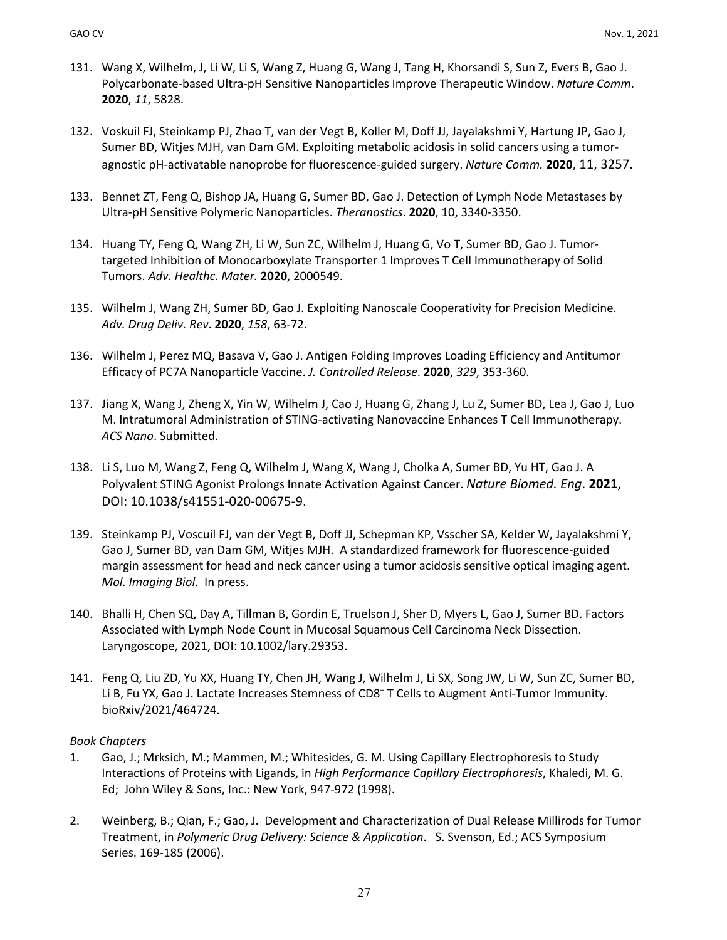- 131. Wang X, Wilhelm, J, Li W, Li S, Wang Z, Huang G, Wang J, Tang H, Khorsandi S, Sun Z, Evers B, Gao J. Polycarbonate-based Ultra-pH Sensitive Nanoparticles Improve Therapeutic Window. *Nature Comm*. **2020**, *11*, 5828.
- 132. Voskuil FJ, Steinkamp PJ, Zhao T, van der Vegt B, Koller M, Doff JJ, Jayalakshmi Y, Hartung JP, Gao J, Sumer BD, Witjes MJH, van Dam GM. Exploiting metabolic acidosis in solid cancers using a tumoragnostic pH-activatable nanoprobe for fluorescence-guided surgery. *Nature Comm.* **2020**, 11, 3257.
- 133. Bennet ZT, Feng Q, Bishop JA, Huang G, Sumer BD, Gao J. Detection of Lymph Node Metastases by Ultra-pH Sensitive Polymeric Nanoparticles. *Theranostics*. **2020**, 10, 3340-3350.
- 134. Huang TY, Feng Q, Wang ZH, Li W, Sun ZC, Wilhelm J, Huang G, Vo T, Sumer BD, Gao J. Tumortargeted Inhibition of Monocarboxylate Transporter 1 Improves T Cell Immunotherapy of Solid Tumors. *Adv. Healthc. Mater.* **2020**, 2000549.
- 135. Wilhelm J, Wang ZH, Sumer BD, Gao J. Exploiting Nanoscale Cooperativity for Precision Medicine. *Adv. Drug Deliv. Rev*. **2020**, *158*, 63-72.
- 136. Wilhelm J, Perez MQ, Basava V, Gao J. Antigen Folding Improves Loading Efficiency and Antitumor Efficacy of PC7A Nanoparticle Vaccine. *J. Controlled Release*. **2020**, *329*, 353-360.
- 137. Jiang X, Wang J, Zheng X, Yin W, Wilhelm J, Cao J, Huang G, Zhang J, Lu Z, Sumer BD, Lea J, Gao J, Luo M. Intratumoral Administration of STING-activating Nanovaccine Enhances T Cell Immunotherapy. *ACS Nano*. Submitted.
- 138. Li S, Luo M, Wang Z, Feng Q, Wilhelm J, Wang X, Wang J, Cholka A, Sumer BD, Yu HT, Gao J. A Polyvalent STING Agonist Prolongs Innate Activation Against Cancer. *Nature Biomed. Eng*. **2021**, DOI: 10.1038/s41551-020-00675-9.
- 139. Steinkamp PJ, Voscuil FJ, van der Vegt B, Doff JJ, Schepman KP, Vsscher SA, Kelder W, Jayalakshmi Y, Gao J, Sumer BD, van Dam GM, Witjes MJH. A standardized framework for fluorescence-guided margin assessment for head and neck cancer using a tumor acidosis sensitive optical imaging agent. *Mol. Imaging Biol*. In press.
- 140. Bhalli H, Chen SQ, Day A, Tillman B, Gordin E, Truelson J, Sher D, Myers L, Gao J, Sumer BD. Factors Associated with Lymph Node Count in Mucosal Squamous Cell Carcinoma Neck Dissection. Laryngoscope, 2021, DOI: 10.1002/lary.29353.
- 141. Feng Q, Liu ZD, Yu XX, Huang TY, Chen JH, Wang J, Wilhelm J, Li SX, Song JW, Li W, Sun ZC, Sumer BD, Li B, Fu YX, Gao J. Lactate Increases Stemness of CD8<sup>+</sup> T Cells to Augment Anti-Tumor Immunity. bioRxiv/2021/464724.

#### *Book Chapters*

- 1. Gao, J.; Mrksich, M.; Mammen, M.; Whitesides, G. M. Using Capillary Electrophoresis to Study Interactions of Proteins with Ligands, in *High Performance Capillary Electrophoresis*, Khaledi, M. G. Ed; John Wiley & Sons, Inc.: New York, 947-972 (1998).
- 2. Weinberg, B.; Qian, F.; Gao, J. Development and Characterization of Dual Release Millirods for Tumor Treatment, in *Polymeric Drug Delivery: Science & Application*. S. Svenson, Ed.; ACS Symposium Series. 169-185 (2006).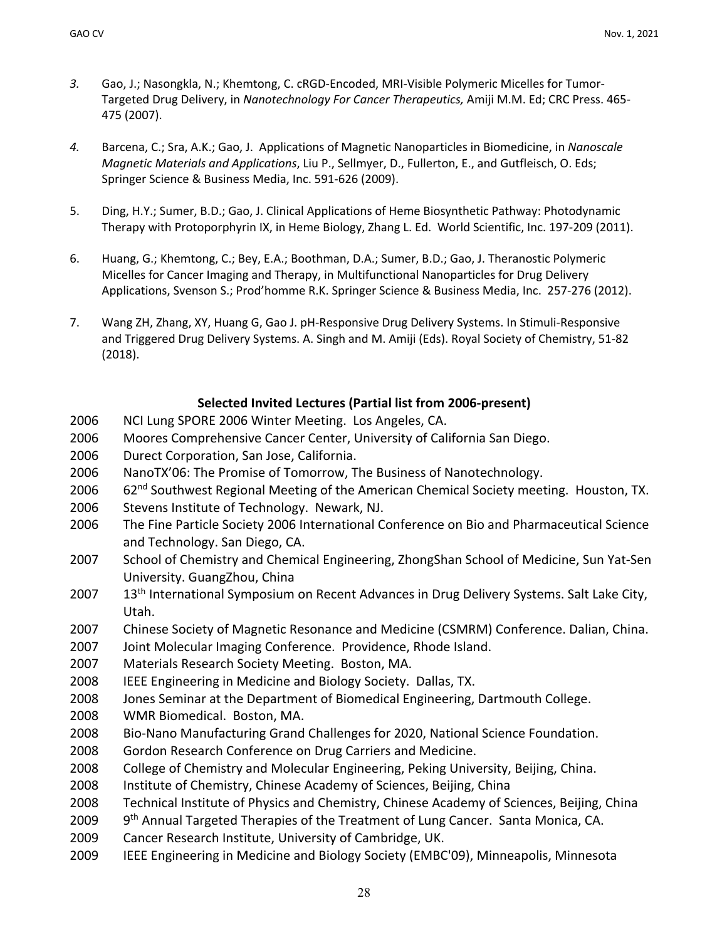- *3.* Gao, J.; Nasongkla, N.; Khemtong, C. cRGD-Encoded, MRI-Visible Polymeric Micelles for Tumor-Targeted Drug Delivery, in *Nanotechnology For Cancer Therapeutics,* Amiji M.M. Ed; CRC Press. 465- 475 (2007).
- *4.* Barcena, C.; Sra, A.K.; Gao, J. Applications of Magnetic Nanoparticles in Biomedicine, in *Nanoscale Magnetic Materials and Applications*, Liu P., Sellmyer, D., Fullerton, E., and Gutfleisch, O. Eds; Springer Science & Business Media, Inc. 591-626 (2009).
- 5. Ding, H.Y.; Sumer, B.D.; Gao, J. Clinical Applications of Heme Biosynthetic Pathway: Photodynamic Therapy with Protoporphyrin IX, in Heme Biology, Zhang L. Ed. World Scientific, Inc. 197-209 (2011).
- 6. Huang, G.; Khemtong, C.; Bey, E.A.; Boothman, D.A.; Sumer, B.D.; Gao, J. Theranostic Polymeric Micelles for Cancer Imaging and Therapy, in Multifunctional Nanoparticles for Drug Delivery Applications, Svenson S.; Prod'homme R.K. Springer Science & Business Media, Inc. 257-276 (2012).
- 7. Wang ZH, Zhang, XY, Huang G, Gao J. pH-Responsive Drug Delivery Systems. In Stimuli-Responsive and Triggered Drug Delivery Systems. A. Singh and M. Amiji (Eds). Royal Society of Chemistry, 51-82 (2018).

### **Selected Invited Lectures (Partial list from 2006-present)**

- 2006 NCI Lung SPORE 2006 Winter Meeting. Los Angeles, CA.
- 2006 Moores Comprehensive Cancer Center, University of California San Diego.
- 2006 Durect Corporation, San Jose, California.
- 2006 NanoTX'06: The Promise of Tomorrow, The Business of Nanotechnology.
- 2006 62<sup>nd</sup> Southwest Regional Meeting of the American Chemical Society meeting. Houston, TX.
- 2006 Stevens Institute of Technology. Newark, NJ.
- 2006 The Fine Particle Society 2006 International Conference on Bio and Pharmaceutical Science and Technology. San Diego, CA.
- 2007 School of Chemistry and Chemical Engineering, ZhongShan School of Medicine, Sun Yat-Sen University. GuangZhou, China
- 2007 13<sup>th</sup> International Symposium on Recent Advances in Drug Delivery Systems. Salt Lake City, Utah.
- 2007 Chinese Society of Magnetic Resonance and Medicine (CSMRM) Conference. Dalian, China.
- 2007 Joint Molecular Imaging Conference. Providence, Rhode Island.
- 2007 Materials Research Society Meeting. Boston, MA.
- 2008 IEEE Engineering in Medicine and Biology Society. Dallas, TX.
- 2008 Jones Seminar at the Department of Biomedical Engineering, Dartmouth College.
- 2008 WMR Biomedical. Boston, MA.
- 2008 Bio-Nano Manufacturing Grand Challenges for 2020, National Science Foundation.
- 2008 Gordon Research Conference on Drug Carriers and Medicine.
- 2008 College of Chemistry and Molecular Engineering, Peking University, Beijing, China.
- 2008 Institute of Chemistry, Chinese Academy of Sciences, Beijing, China
- 2008 Technical Institute of Physics and Chemistry, Chinese Academy of Sciences, Beijing, China
- 2009 9<sup>th</sup> Annual Targeted Therapies of the Treatment of Lung Cancer. Santa Monica, CA.
- 2009 Cancer Research Institute, University of Cambridge, UK.
- 2009 IEEE Engineering in Medicine and Biology Society (EMBC'09), Minneapolis, Minnesota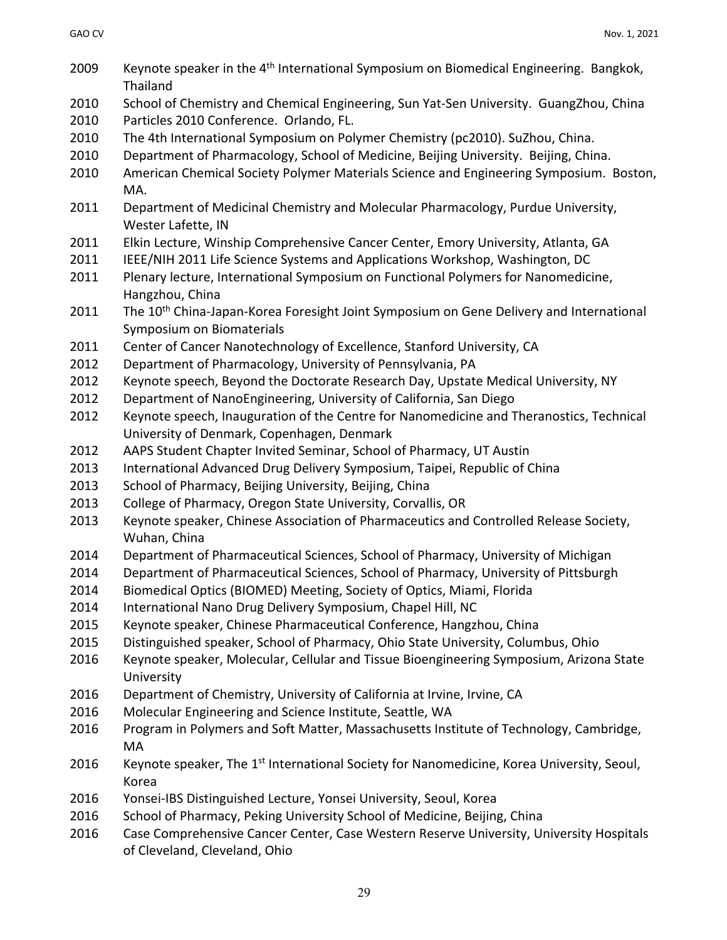| 2009 | Keynote speaker in the 4 <sup>th</sup> International Symposium on Biomedical Engineering. Bangkok,<br>Thailand                   |
|------|----------------------------------------------------------------------------------------------------------------------------------|
| 2010 | School of Chemistry and Chemical Engineering, Sun Yat-Sen University. GuangZhou, China                                           |
| 2010 | Particles 2010 Conference. Orlando, FL.                                                                                          |
| 2010 | The 4th International Symposium on Polymer Chemistry (pc2010). SuZhou, China.                                                    |
| 2010 | Department of Pharmacology, School of Medicine, Beijing University. Beijing, China.                                              |
| 2010 | American Chemical Society Polymer Materials Science and Engineering Symposium. Boston,<br>MA.                                    |
| 2011 | Department of Medicinal Chemistry and Molecular Pharmacology, Purdue University,<br>Wester Lafette, IN                           |
| 2011 | Elkin Lecture, Winship Comprehensive Cancer Center, Emory University, Atlanta, GA                                                |
| 2011 | IEEE/NIH 2011 Life Science Systems and Applications Workshop, Washington, DC                                                     |
| 2011 | Plenary lecture, International Symposium on Functional Polymers for Nanomedicine,<br>Hangzhou, China                             |
| 2011 | The 10 <sup>th</sup> China-Japan-Korea Foresight Joint Symposium on Gene Delivery and International<br>Symposium on Biomaterials |
| 2011 | Center of Cancer Nanotechnology of Excellence, Stanford University, CA                                                           |
| 2012 | Department of Pharmacology, University of Pennsylvania, PA                                                                       |
| 2012 | Keynote speech, Beyond the Doctorate Research Day, Upstate Medical University, NY                                                |
| 2012 | Department of NanoEngineering, University of California, San Diego                                                               |
| 2012 | Keynote speech, Inauguration of the Centre for Nanomedicine and Theranostics, Technical                                          |
|      | University of Denmark, Copenhagen, Denmark                                                                                       |
| 2012 | AAPS Student Chapter Invited Seminar, School of Pharmacy, UT Austin                                                              |
| 2013 | International Advanced Drug Delivery Symposium, Taipei, Republic of China                                                        |
| 2013 | School of Pharmacy, Beijing University, Beijing, China                                                                           |
| 2013 | College of Pharmacy, Oregon State University, Corvallis, OR                                                                      |
| 2013 | Keynote speaker, Chinese Association of Pharmaceutics and Controlled Release Society,<br>Wuhan, China                            |
| 2014 | Department of Pharmaceutical Sciences, School of Pharmacy, University of Michigan                                                |
| 2014 | Department of Pharmaceutical Sciences, School of Pharmacy, University of Pittsburgh                                              |
| 2014 | Biomedical Optics (BIOMED) Meeting, Society of Optics, Miami, Florida                                                            |
| 2014 | International Nano Drug Delivery Symposium, Chapel Hill, NC                                                                      |
| 2015 | Keynote speaker, Chinese Pharmaceutical Conference, Hangzhou, China                                                              |
| 2015 | Distinguished speaker, School of Pharmacy, Ohio State University, Columbus, Ohio                                                 |
| 2016 | Keynote speaker, Molecular, Cellular and Tissue Bioengineering Symposium, Arizona State                                          |
|      | University                                                                                                                       |
| 2016 | Department of Chemistry, University of California at Irvine, Irvine, CA                                                          |
| 2016 | Molecular Engineering and Science Institute, Seattle, WA                                                                         |
| 2016 | Program in Polymers and Soft Matter, Massachusetts Institute of Technology, Cambridge,                                           |
|      | MA                                                                                                                               |
| 2016 | Keynote speaker, The 1 <sup>st</sup> International Society for Nanomedicine, Korea University, Seoul,                            |
|      | Korea                                                                                                                            |
| 2016 | Yonsei-IBS Distinguished Lecture, Yonsei University, Seoul, Korea                                                                |
| 2016 | School of Pharmacy, Peking University School of Medicine, Beijing, China                                                         |
| 2016 | Case Comprehensive Cancer Center, Case Western Reserve University, University Hospitals                                          |
|      | of Cleveland, Cleveland, Ohio                                                                                                    |